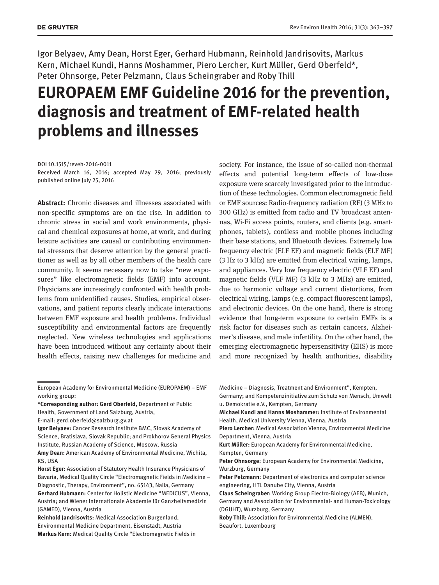Igor Belyaev, Amy Dean, Horst Eger, Gerhard Hubmann, Reinhold Jandrisovits, Markus Kern, Michael Kundi, Hanns Moshammer, Piero Lercher, Kurt Müller, Gerd Oberfeld\*, Peter Ohnsorge, Peter Pelzmann, Claus Scheingraber and Roby Thill

# **EUROPAEM EMF Guideline 2016 for the prevention, diagnosis and treatment of EMF-related health problems and illnesses**

DOI 10.1515/reveh-2016-0011

Received March 16, 2016; accepted May 29, 2016; previously published online July 25, 2016

**Abstract:** Chronic diseases and illnesses associated with non-specific symptoms are on the rise. In addition to chronic stress in social and work environments, physical and chemical exposures at home, at work, and during leisure activities are causal or contributing environmental stressors that deserve attention by the general practitioner as well as by all other members of the health care community. It seems necessary now to take "new exposures" like electromagnetic fields (EMF) into account. Physicians are increasingly confronted with health problems from unidentified causes. Studies, empirical observations, and patient reports clearly indicate interactions between EMF exposure and health problems. Individual susceptibility and environmental factors are frequently neglected. New wireless technologies and applications have been introduced without any certainty about their health effects, raising new challenges for medicine and

society. For instance, the issue of so-called non-thermal effects and potential long-term effects of low-dose exposure were scarcely investigated prior to the introduction of these technologies. Common electromagnetic field or EMF sources: Radio-frequency radiation (RF) (3 MHz to 300 GHz) is emitted from radio and TV broadcast antennas, Wi-Fi access points, routers, and clients (e.g. smartphones, tablets), cordless and mobile phones including their base stations, and Bluetooth devices. Extremely low frequency electric (ELF EF) and magnetic fields (ELF MF) (3 Hz to 3 kHz) are emitted from electrical wiring, lamps, and appliances. Very low frequency electric (VLF EF) and magnetic fields (VLF MF) (3 kHz to 3 MHz) are emitted, due to harmonic voltage and current distortions, from electrical wiring, lamps (e.g. compact fluorescent lamps), and electronic devices. On the one hand, there is strong evidence that long-term exposure to certain EMFs is a risk factor for diseases such as certain cancers, Alzheimer's disease, and male infertility. On the other hand, the emerging electromagnetic hypersensitivity (EHS) is more and more recognized by health authorities, disability

E-mail: gerd.oberfeld@salzburg.gv.at

**Igor Belyaev:** Cancer Research Institute BMC, Slovak Academy of Science, Bratislava, Slovak Republic; and Prokhorov General Physics Institute, Russian Academy of Science, Moscow, Russia

Medicine – Diagnosis, Treatment and Environment", Kempten,

Germany; and Kompetenzinitiative zum Schutz von Mensch, Umwelt u. Demokratie e.V., Kempten, Germany

**Michael Kundi and Hanns Moshammer:** Institute of Environmental Health, Medical University Vienna, Vienna, Austria

**Piero Lercher:** Medical Association Vienna, Environmental Medicine Department, Vienna, Austria

**Kurt Müller:** European Academy for Environmental Medicine, Kempten, Germany

**Peter Ohnsorge:** European Academy for Environmental Medicine, Wurzburg, Germany

**Peter Pelzmann:** Department of electronics and computer science engineering, HTL Danube City, Vienna, Austria

**Roby Thill:** Association for Environmental Medicine (ALMEN), Beaufort, Luxembourg

European Academy for Environmental Medicine (EUROPAEM) – EMF working group:

**<sup>\*</sup>Corresponding author: Gerd Oberfeld,** Department of Public Health, Government of Land Salzburg, Austria,

**Amy Dean:** American Academy of Environmental Medicine, Wichita, KS, USA

**Horst Eger:** Association of Statutory Health Insurance Physicians of Bavaria, Medical Quality Circle "Electromagnetic Fields in Medicine – Diagnostic, Therapy, Environment", no. 65143, Naila, Germany **Gerhard Hubmann:** Center for Holistic Medicine "MEDICUS", Vienna, Austria; and Wiener Internationale Akademie für Ganzheitsmedizin (GAMED), Vienna, Austria

**Reinhold Jandrisovits:** Medical Association Burgenland, Environmental Medicine Department, Eisenstadt, Austria **Markus Kern:** Medical Quality Circle "Electromagnetic Fields in

**Claus Scheingraber:** Working Group Electro-Biology (AEB), Munich, Germany and Association for Environmental- and Human-Toxicology (DGUHT), Wurzburg, Germany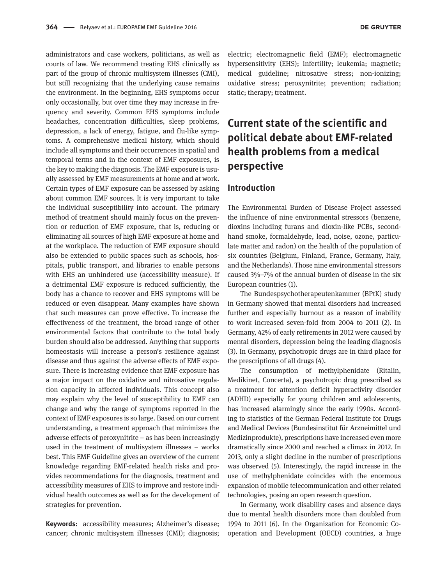administrators and case workers, politicians, as well as courts of law. We recommend treating EHS clinically as part of the group of chronic multisystem illnesses (CMI), but still recognizing that the underlying cause remains the environment. In the beginning, EHS symptoms occur only occasionally, but over time they may increase in frequency and severity. Common EHS symptoms include headaches, concentration difficulties, sleep problems, depression, a lack of energy, fatigue, and flu-like symptoms. A comprehensive medical history, which should include all symptoms and their occurrences in spatial and temporal terms and in the context of EMF exposures, is the key to making the diagnosis. The EMF exposure is usually assessed by EMF measurements at home and at work. Certain types of EMF exposure can be assessed by asking about common EMF sources. It is very important to take the individual susceptibility into account. The primary method of treatment should mainly focus on the prevention or reduction of EMF exposure, that is, reducing or eliminating all sources of high EMF exposure at home and at the workplace. The reduction of EMF exposure should also be extended to public spaces such as schools, hospitals, public transport, and libraries to enable persons with EHS an unhindered use (accessibility measure). If a detrimental EMF exposure is reduced sufficiently, the body has a chance to recover and EHS symptoms will be reduced or even disappear. Many examples have shown that such measures can prove effective. To increase the effectiveness of the treatment, the broad range of other environmental factors that contribute to the total body burden should also be addressed. Anything that supports homeostasis will increase a person's resilience against disease and thus against the adverse effects of EMF exposure. There is increasing evidence that EMF exposure has a major impact on the oxidative and nitrosative regulation capacity in affected individuals. This concept also may explain why the level of susceptibility to EMF can change and why the range of symptoms reported in the context of EMF exposures is so large. Based on our current understanding, a treatment approach that minimizes the adverse effects of peroxynitrite – as has been increasingly used in the treatment of multisystem illnesses – works best. This EMF Guideline gives an overview of the current knowledge regarding EMF-related health risks and provides recommendations for the diagnosis, treatment and accessibility measures of EHS to improve and restore individual health outcomes as well as for the development of strategies for prevention.

**Keywords:** accessibility measures; Alzheimer's disease; cancer; chronic multisystem illnesses (CMI); diagnosis;

electric; electromagnetic field (EMF); electromagnetic hypersensitivity (EHS); infertility; leukemia; magnetic; medical guideline; nitrosative stress; non-ionizing; oxidative stress; peroxynitrite; prevention; radiation; static; therapy; treatment.

## **Current state of the scientific and political debate about EMF-related health problems from a medical perspective**

#### **Introduction**

The Environmental Burden of Disease Project assessed the influence of nine environmental stressors (benzene, dioxins including furans and dioxin-like PCBs, secondhand smoke, formaldehyde, lead, noise, ozone, particulate matter and radon) on the health of the population of six countries (Belgium, Finland, France, Germany, Italy, and the Netherlands). Those nine environmental stressors caused 3%–7% of the annual burden of disease in the six European countries (1).

The Bundespsychotherapeutenkammer (BPtK) study in Germany showed that mental disorders had increased further and especially burnout as a reason of inability to work increased seven-fold from 2004 to 2011 (2). In Germany, 42% of early retirements in 2012 were caused by mental disorders, depression being the leading diagnosis (3). In Germany, psychotropic drugs are in third place for the prescriptions of all drugs (4).

The consumption of methylphenidate (Ritalin, Medikinet, Concerta), a psychotropic drug prescribed as a treatment for attention deficit hyperactivity disorder (ADHD) especially for young children and adolescents, has increased alarmingly since the early 1990s. According to statistics of the German Federal Institute for Drugs and Medical Devices (Bundesinstitut für Arzneimittel und Medizinprodukte), prescriptions have increased even more dramatically since 2000 and reached a climax in 2012. In 2013, only a slight decline in the number of prescriptions was observed (5). Interestingly, the rapid increase in the use of methylphenidate coincides with the enormous expansion of mobile telecommunication and other related technologies, posing an open research question.

In Germany, work disability cases and absence days due to mental health disorders more than doubled from 1994 to 2011 (6). In the Organization for Economic Cooperation and Development (OECD) countries, a huge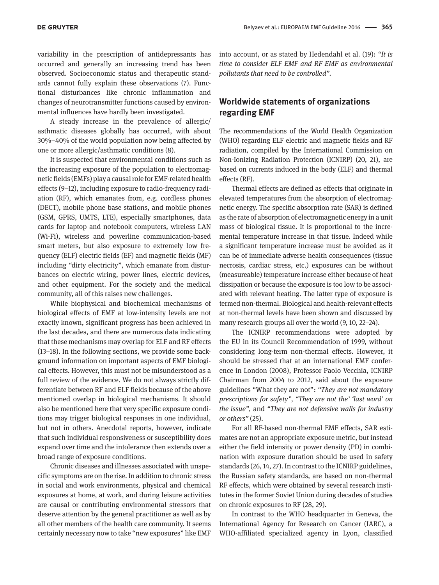variability in the prescription of antidepressants has occurred and generally an increasing trend has been observed. Socioeconomic status and therapeutic standards cannot fully explain these observations (7). Functional disturbances like chronic inflammation and changes of neurotransmitter functions caused by environmental influences have hardly been investigated.

A steady increase in the prevalence of allergic/ asthmatic diseases globally has occurred, with about 30%–40% of the world population now being affected by one or more allergic/asthmatic conditions (8).

It is suspected that environmental conditions such as the increasing exposure of the population to electromagnetic fields (EMFs) play a causal role for EMF-related health effects (9–12), including exposure to radio-frequency radiation (RF), which emanates from, e.g. cordless phones (DECT), mobile phone base stations, and mobile phones (GSM, GPRS, UMTS, LTE), especially smartphones, data cards for laptop and notebook computers, wireless LAN (Wi-Fi), wireless and powerline communication-based smart meters, but also exposure to extremely low frequency (ELF) electric fields (EF) and magnetic fields (MF) including "dirty electricity", which emanate from disturbances on electric wiring, power lines, electric devices, and other equipment. For the society and the medical community, all of this raises new challenges.

While biophysical and biochemical mechanisms of biological effects of EMF at low-intensity levels are not exactly known, significant progress has been achieved in the last decades, and there are numerous data indicating that these mechanisms may overlap for ELF and RF effects (13–18). In the following sections, we provide some background information on important aspects of EMF biological effects. However, this must not be misunderstood as a full review of the evidence. We do not always strictly differentiate between RF and ELF fields because of the above mentioned overlap in biological mechanisms. It should also be mentioned here that very specific exposure conditions may trigger biological responses in one individual, but not in others. Anecdotal reports, however, indicate that such individual responsiveness or susceptibility does expand over time and the intolerance then extends over a broad range of exposure conditions.

Chronic diseases and illnesses associated with unspecific symptoms are on the rise. In addition to chronic stress in social and work environments, physical and chemical exposures at home, at work, and during leisure activities are causal or contributing environmental stressors that deserve attention by the general practitioner as well as by all other members of the health care community. It seems certainly necessary now to take "new exposures" like EMF

into account, or as stated by Hedendahl et al. (19): *"It is time to consider ELF EMF and RF EMF as environmental pollutants that need to be controlled"*.

## **Worldwide statements of organizations regarding EMF**

The recommendations of the World Health Organization (WHO) regarding ELF electric and magnetic fields and RF radiation, compiled by the International Commission on Non-Ionizing Radiation Protection (ICNIRP) (20, 21), are based on currents induced in the body (ELF) and thermal effects (RF).

Thermal effects are defined as effects that originate in elevated temperatures from the absorption of electromagnetic energy. The specific absorption rate (SAR) is defined as the rate of absorption of electromagnetic energy in a unit mass of biological tissue. It is proportional to the incremental temperature increase in that tissue. Indeed while a significant temperature increase must be avoided as it can be of immediate adverse health consequences (tissue necrosis, cardiac stress, etc.) exposures can be without (measureable) temperature increase either because of heat dissipation or because the exposure is too low to be associated with relevant heating. The latter type of exposure is termed non-thermal. Biological and health-relevant effects at non-thermal levels have been shown and discussed by many research groups all over the world (9, 10, 22–24).

The ICNIRP recommendations were adopted by the EU in its Council Recommendation of 1999, without considering long-term non-thermal effects. However, it should be stressed that at an international EMF conference in London (2008), Professor Paolo Vecchia, ICNIRP Chairman from 2004 to 2012, said about the exposure guidelines "What they are not": *"They are not mandatory prescriptions for safety", "They are not the' 'last word' on the issue"*, and *"They are not defensive walls for industry or others"* (25).

For all RF-based non-thermal EMF effects, SAR estimates are not an appropriate exposure metric, but instead either the field intensity or power density (PD) in combination with exposure duration should be used in safety standards (26, 14, 27). In contrast to the ICNIRP guidelines, the Russian safety standards, are based on non-thermal RF effects, which were obtained by several research institutes in the former Soviet Union during decades of studies on chronic exposures to RF (28, 29).

In contrast to the WHO headquarter in Geneva, the International Agency for Research on Cancer (IARC), a WHO-affiliated specialized agency in Lyon, classified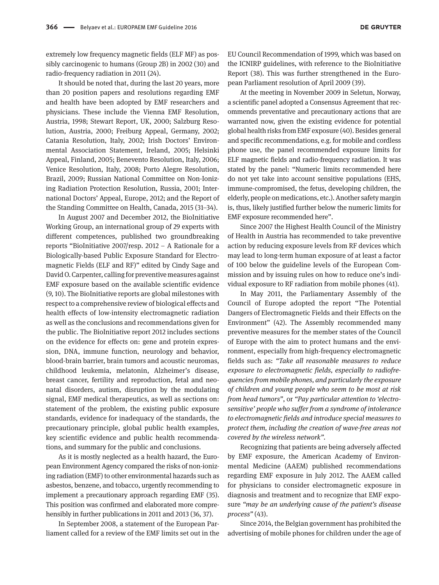**DE GRUYTER** 

extremely low frequency magnetic fields (ELF MF) as possibly carcinogenic to humans (Group 2B) in 2002 (30) and radio-frequency radiation in 2011 (24).

It should be noted that, during the last 20 years, more than 20 position papers and resolutions regarding EMF and health have been adopted by EMF researchers and physicians. These include the Vienna EMF Resolution, Austria, 1998; Stewart Report, UK, 2000; Salzburg Resolution, Austria, 2000; Freiburg Appeal, Germany, 2002; Catania Resolution, Italy, 2002; Irish Doctors' Environmental Association Statement, Ireland, 2005; Helsinki Appeal, Finland, 2005; Benevento Resolution, Italy, 2006; Venice Resolution, Italy, 2008; Porto Alegre Resolution, Brazil, 2009; Russian National Committee on Non-Ionizing Radiation Protection Resolution, Russia, 2001; International Doctors' Appeal, Europe, 2012; and the Report of the Standing Committee on Health, Canada, 2015 (31–34).

In August 2007 and December 2012, the BioInitiative Working Group, an international group of 29 experts with different competences, published two groundbreaking reports "BioInitiative 2007/resp. 2012 – A Rationale for a Biologically-based Public Exposure Standard for Electromagnetic Fields (ELF and RF)" edited by Cindy Sage and David O. Carpenter, calling for preventive measures against EMF exposure based on the available scientific evidence (9, 10). The BioInitiative reports are global milestones with respect to a comprehensive review of biological effects and health effects of low-intensity electromagnetic radiation as well as the conclusions and recommendations given for the public. The BioInitiative report 2012 includes sections on the evidence for effects on: gene and protein expression, DNA, immune function, neurology and behavior, blood-brain barrier, brain tumors and acoustic neuromas, childhood leukemia, melatonin, Alzheimer's disease, breast cancer, fertility and reproduction, fetal and neonatal disorders, autism, disruption by the modulating signal, EMF medical therapeutics, as well as sections on: statement of the problem, the existing public exposure standards, evidence for inadequacy of the standards, the precautionary principle, global public health examples, key scientific evidence and public health recommendations, and summary for the public and conclusions.

As it is mostly neglected as a health hazard, the European Environment Agency compared the risks of non-ionizing radiation (EMF) to other environmental hazards such as asbestos, benzene, and tobacco, urgently recommending to implement a precautionary approach regarding EMF (35). This position was confirmed and elaborated more comprehensibly in further publications in 2011 and 2013 (36, 37).

In September 2008, a statement of the European Parliament called for a review of the EMF limits set out in the

EU Council Recommendation of 1999, which was based on the ICNIRP guidelines, with reference to the BioInitiative Report (38). This was further strengthened in the European Parliament resolution of April 2009 (39).

At the meeting in November 2009 in Seletun, Norway, a scientific panel adopted a Consensus Agreement that recommends preventative and precautionary actions that are warranted now, given the existing evidence for potential global health risks from EMF exposure (40). Besides general and specific recommendations, e.g. for mobile and cordless phone use, the panel recommended exposure limits for ELF magnetic fields and radio-frequency radiation. It was stated by the panel: "Numeric limits recommended here do not yet take into account sensitive populations (EHS, immune-compromised, the fetus, developing children, the elderly, people on medications, etc.). Another safety margin is, thus, likely justified further below the numeric limits for EMF exposure recommended here".

Since 2007 the Highest Health Council of the Ministry of Health in Austria has recommended to take preventive action by reducing exposure levels from RF devices which may lead to long-term human exposure of at least a factor of 100 below the guideline levels of the European Commission and by issuing rules on how to reduce one's individual exposure to RF radiation from mobile phones (41).

In May 2011, the Parliamentary Assembly of the Council of Europe adopted the report "The Potential Dangers of Electromagnetic Fields and their Effects on the Environment" (42). The Assembly recommended many preventive measures for the member states of the Council of Europe with the aim to protect humans and the environment, especially from high-frequency electromagnetic fields such as: *"Take all reasonable measures to reduce exposure to electromagnetic fields, especially to radiofrequencies from mobile phones, and particularly the exposure of children and young people who seem to be most at risk from head tumors"*, or *"Pay particular attention to 'electrosensitive' people who suffer from a syndrome of intolerance to electromagnetic fields and introduce special measures to protect them, including the creation of wave-free areas not covered by the wireless network".*

Recognizing that patients are being adversely affected by EMF exposure, the American Academy of Environmental Medicine (AAEM) published recommendations regarding EMF exposure in July 2012. The AAEM called for physicians to consider electromagnetic exposure in diagnosis and treatment and to recognize that EMF exposure *"may be an underlying cause of the patient's disease process"* (43).

Since 2014, the Belgian government has prohibited the advertising of mobile phones for children under the age of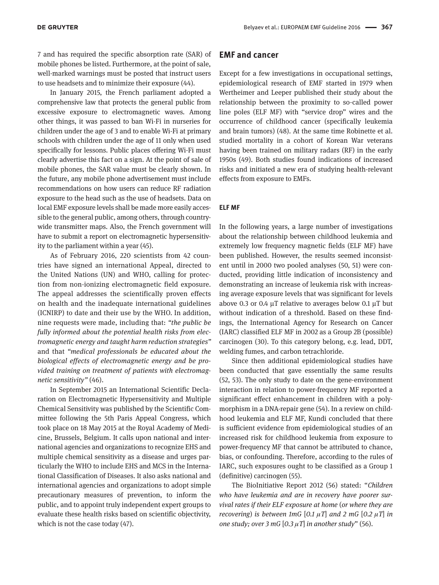7 and has required the specific absorption rate (SAR) of mobile phones be listed. Furthermore, at the point of sale, well-marked warnings must be posted that instruct users to use headsets and to minimize their exposure (44).

In January 2015, the French parliament adopted a comprehensive law that protects the general public from excessive exposure to electromagnetic waves. Among other things, it was passed to ban Wi-Fi in nurseries for children under the age of 3 and to enable Wi-Fi at primary schools with children under the age of 11 only when used specifically for lessons. Public places offering Wi-Fi must clearly advertise this fact on a sign. At the point of sale of mobile phones, the SAR value must be clearly shown. In the future, any mobile phone advertisement must include recommendations on how users can reduce RF radiation exposure to the head such as the use of headsets. Data on local EMF exposure levels shall be made more easily accessible to the general public, among others, through countrywide transmitter maps. Also, the French government will have to submit a report on electromagnetic hypersensitivity to the parliament within a year (45).

As of February 2016, 220 scientists from 42 countries have signed an international Appeal, directed to the United Nations (UN) and WHO, calling for protection from non-ionizing electromagnetic field exposure. The appeal addresses the scientifically proven effects on health and the inadequate international guidelines (ICNIRP) to date and their use by the WHO. In addition, nine requests were made, including that: *"the public be fully informed about the potential health risks from electromagnetic energy and taught harm reduction strategies"* and that *"medical professionals be educated about the biological effects of electromagnetic energy and be provided training on treatment of patients with electromagnetic sensitivity"* (46).

In September 2015 an International Scientific Declaration on Electromagnetic Hypersensitivity and Multiple Chemical Sensitivity was published by the Scientific Committee following the 5th Paris Appeal Congress, which took place on 18 May 2015 at the Royal Academy of Medicine, Brussels, Belgium. It calls upon national and international agencies and organizations to recognize EHS and multiple chemical sensitivity as a disease and urges particularly the WHO to include EHS and MCS in the International Classification of Diseases. It also asks national and international agencies and organizations to adopt simple precautionary measures of prevention, to inform the public, and to appoint truly independent expert groups to evaluate these health risks based on scientific objectivity, which is not the case today (47).

#### **EMF and cancer**

Except for a few investigations in occupational settings, epidemiological research of EMF started in 1979 when Wertheimer and Leeper published their study about the relationship between the proximity to so-called power line poles (ELF MF) with "service drop" wires and the occurrence of childhood cancer (specifically leukemia and brain tumors) (48). At the same time Robinette et al. studied mortality in a cohort of Korean War veterans having been trained on military radars (RF) in the early 1950s (49). Both studies found indications of increased risks and initiated a new era of studying health-relevant effects from exposure to EMFs.

#### **ELF MF**

In the following years, a large number of investigations about the relationship between childhood leukemia and extremely low frequency magnetic fields (ELF MF) have been published. However, the results seemed inconsistent until in 2000 two pooled analyses (50, 51) were conducted, providing little indication of inconsistency and demonstrating an increase of leukemia risk with increasing average exposure levels that was significant for levels above 0.3 or 0.4 μT relative to averages below 0.1 μT but without indication of a threshold. Based on these findings, the International Agency for Research on Cancer (IARC) classified ELF MF in 2002 as a Group 2B (possible) carcinogen (30). To this category belong, e.g. lead, DDT, welding fumes, and carbon tetrachloride.

Since then additional epidemiological studies have been conducted that gave essentially the same results (52, 53). The only study to date on the gene-environment interaction in relation to power-frequency MF reported a significant effect enhancement in children with a polymorphism in a DNA-repair gene (54). In a review on childhood leukemia and ELF MF, Kundi concluded that there is sufficient evidence from epidemiological studies of an increased risk for childhood leukemia from exposure to power-frequency MF that cannot be attributed to chance, bias, or confounding. Therefore, according to the rules of IARC, such exposures ought to be classified as a Group 1 (definitive) carcinogen (55).

The BioInitiative Report 2012 (56) stated: "*Children who have leukemia and are in recovery have poorer survival rates if their ELF exposure at home* (*or where they are recovering*) *is between 1mG* [0.1  $\mu$ *T*] and 2 mG [0.2  $\mu$ *T*] *in one study; over 3 mG* [*0.3* μ*T*] *in another study*" (56).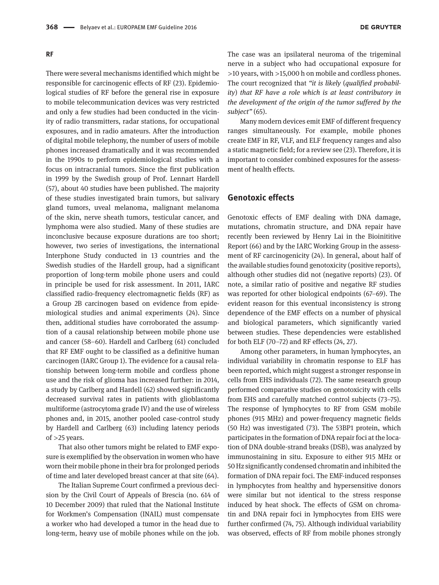#### **RF**

There were several mechanisms identified which might be responsible for carcinogenic effects of RF (23). Epidemiological studies of RF before the general rise in exposure to mobile telecommunication devices was very restricted and only a few studies had been conducted in the vicinity of radio transmitters, radar stations, for occupational exposures, and in radio amateurs. After the introduction of digital mobile telephony, the number of users of mobile phones increased dramatically and it was recommended in the 1990s to perform epidemiological studies with a focus on intracranial tumors. Since the first publication in 1999 by the Swedish group of Prof. Lennart Hardell (57), about 40 studies have been published. The majority of these studies investigated brain tumors, but salivary gland tumors, uveal melanoma, malignant melanoma of the skin, nerve sheath tumors, testicular cancer, and lymphoma were also studied. Many of these studies are inconclusive because exposure durations are too short; however, two series of investigations, the international Interphone Study conducted in 13 countries and the Swedish studies of the Hardell group, had a significant proportion of long-term mobile phone users and could in principle be used for risk assessment. In 2011, IARC classified radio-frequency electromagnetic fields (RF) as a Group 2B carcinogen based on evidence from epidemiological studies and animal experiments (24). Since then, additional studies have corroborated the assumption of a causal relationship between mobile phone use and cancer (58–60). Hardell and Carlberg (61) concluded that RF EMF ought to be classified as a definitive human carcinogen (IARC Group 1). The evidence for a causal relationship between long-term mobile and cordless phone use and the risk of glioma has increased further: in 2014, a study by Carlberg and Hardell (62) showed significantly decreased survival rates in patients with glioblastoma multiforme (astrocytoma grade IV) and the use of wireless phones and, in 2015, another pooled case-control study by Hardell and Carlberg (63) including latency periods of  $>$ 25 years.

That also other tumors might be related to EMF exposure is exemplified by the observation in women who have worn their mobile phone in their bra for prolonged periods of time and later developed breast cancer at that site (64).

The Italian Supreme Court confirmed a previous decision by the Civil Court of Appeals of Brescia (no. 614 of 10 December 2009) that ruled that the National Institute for Workmen's Compensation (INAIL) must compensate a worker who had developed a tumor in the head due to long-term, heavy use of mobile phones while on the job.

The case was an ipsilateral neuroma of the trigeminal nerve in a subject who had occupational exposure for > 10 years, with  > 15,000 h on mobile and cordless phones. The court recognized that *"it is likely* (*qualified probability*) *that RF have a role which is at least contributory in the development of the origin of the tumor suffered by the subject"* (65).

Many modern devices emit EMF of different frequency ranges simultaneously. For example, mobile phones create EMF in RF, VLF, and ELF frequency ranges and also a static magnetic field; for a review see (23). Therefore, it is important to consider combined exposures for the assessment of health effects.

#### **Genotoxic effects**

Genotoxic effects of EMF dealing with DNA damage, mutations, chromatin structure, and DNA repair have recently been reviewed by Henry Lai in the Bioinititive Report (66) and by the IARC Working Group in the assessment of RF carcinogenicity (24). In general, about half of the available studies found genotoxicity (positive reports), although other studies did not (negative reports) (23). Of note, a similar ratio of positive and negative RF studies was reported for other biological endpoints (67–69). The evident reason for this eventual inconsistency is strong dependence of the EMF effects on a number of physical and biological parameters, which significantly varied between studies. These dependencies were established for both ELF (70–72) and RF effects (24, 27).

Among other parameters, in human lymphocytes, an individual variability in chromatin response to ELF has been reported, which might suggest a stronger response in cells from EHS individuals (72). The same research group performed comparative studies on genotoxicity with cells from EHS and carefully matched control subjects (73–75). The response of lymphocytes to RF from GSM mobile phones (915 MHz) and power-frequency magnetic fields (50 Hz) was investigated (73). The 53BP1 protein, which participates in the formation of DNA repair foci at the location of DNA double-strand breaks (DSB), was analyzed by immunostaining in situ. Exposure to either 915 MHz or 50 Hz significantly condensed chromatin and inhibited the formation of DNA repair foci. The EMF-induced responses in lymphocytes from healthy and hypersensitive donors were similar but not identical to the stress response induced by heat shock. The effects of GSM on chromatin and DNA repair foci in lymphocytes from EHS were further confirmed (74, 75). Although individual variability was observed, effects of RF from mobile phones strongly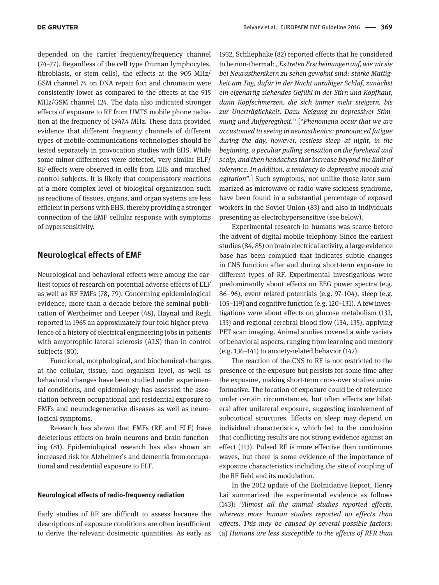depended on the carrier frequency/frequency channel (74–77). Regardless of the cell type (human lymphocytes, fibroblasts, or stem cells), the effects at the 905 MHz/ GSM channel 74 on DNA repair foci and chromatin were consistently lower as compared to the effects at the 915 MHz/GSM channel 124. The data also indicated stronger effects of exposure to RF from UMTS mobile phone radiation at the frequency of 1947.4 MHz. These data provided evidence that different frequency channels of different types of mobile communications technologies should be tested separately in provocation studies with EHS. While some minor differences were detected, very similar ELF/ RF effects were observed in cells from EHS and matched control subjects. It is likely that compensatory reactions at a more complex level of biological organization such as reactions of tissues, organs, and organ systems are less efficient in persons with EHS, thereby providing a stronger connection of the EMF cellular response with symptoms of hypersensitivity.

### **Neurological effects of EMF**

Neurological and behavioral effects were among the earliest topics of research on potential adverse effects of ELF as well as RF EMFs (78, 79). Concerning epidemiological evidence, more than a decade before the seminal publication of Wertheimer and Leeper (48), Haynal and Regli reported in 1965 an approximately four-fold higher prevalence of a history of electrical engineering jobs in patients with amyotrophic lateral sclerosis (ALS) than in control subjects (80).

Functional, morphological, and biochemical changes at the cellular, tissue, and organism level, as well as behavioral changes have been studied under experimental conditions, and epidemiology has assessed the association between occupational and residential exposure to EMFs and neurodegenerative diseases as well as neurological symptoms.

Research has shown that EMFs (RF and ELF) have deleterious effects on brain neurons and brain functioning (81). Epidemiological research has also shown an increased risk for Alzheimer's and dementia from occupational and residential exposure to ELF.

#### **Neurological effects of radio-frequency radiation**

Early studies of RF are difficult to assess because the descriptions of exposure conditions are often insufficient to derive the relevant dosimetric quantities. As early as

1932, Schliephake (82) reported effects that he considered to be non-thermal: *"Es treten Erscheinungen auf, wie wir sie bei Neurasthenikern zu sehen gewohnt sind: starke Mattigkeit am Tag, dafür in der Nacht unruhiger Schlaf, zunächst ein eigenartig ziehendes Gefühl in der Stirn und Kopfhaut, dann Kopfschmerzen, die sich immer mehr steigern, bis zur Unerträglichkeit. Dazu Neigung zu depressiver Stimmung und Aufgeregtheit."* [*"Phenomena occur that we are accustomed to seeing in neurasthenics: pronounced fatigue during the day, however, restless sleep at night, in the beginning, a peculiar pulling sensation on the forehead and scalp, and then headaches that increase beyond the limit of tolerance. In addition, a tendency to depressive moods and agitation"*.] Such symptoms, not unlike those later summarized as microwave or radio wave sickness syndrome, have been found in a substantial percentage of exposed workers in the Soviet Union (83) and also in individuals presenting as electrohypersensitive (see below).

Experimental research in humans was scarce before the advent of digital mobile telephony. Since the earliest studies (84, 85) on brain electrical activity, a large evidence base has been compiled that indicates subtle changes in CNS function after and during short-term exposure to different types of RF. Experimental investigations were predominantly about effects on EEG power spectra (e.g. 86–96), event related potentials (e.g. 97–104), sleep (e.g. 105–119) and cognitive function (e.g. 120–131). A few investigations were about effects on glucose metabolism (132, 133) and regional cerebral blood flow (134, 135), applying PET scan imaging. Animal studies covered a wide variety of behavioral aspects, ranging from learning and memory (e.g. 136–141) to anxiety-related behavior (142).

The reaction of the CNS to RF is not restricted to the presence of the exposure but persists for some time after the exposure, making short-term cross-over studies uninformative. The location of exposure could be of relevance under certain circumstances, but often effects are bilateral after unilateral exposure, suggesting involvement of subcortical structures. Effects on sleep may depend on individual characteristics, which led to the conclusion that conflicting results are not strong evidence against an effect (113). Pulsed RF is more effective than continuous waves, but there is some evidence of the importance of exposure characteristics including the site of coupling of the RF field and its modulation.

In the 2012 update of the BioInitiative Report, Henry Lai summarized the experimental evidence as follows (143): *"Almost all the animal studies reported effects, whereas more human studies reported no effects than effects. This may be caused by several possible factors:*  (a) *Humans are less susceptible to the effects of RFR than*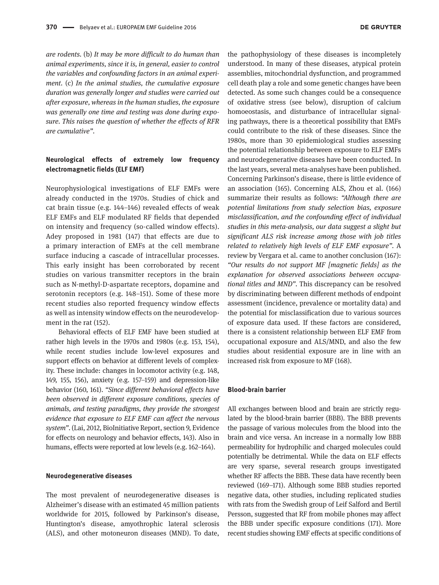*are rodents.* (b) *It may be more difficult to do human than animal experiments, since it is, in general, easier to control the variables and confounding factors in an animal experiment.* (c) *In the animal studies, the cumulative exposure duration was generally longer and studies were carried out after exposure, whereas in the human studies, the exposure was generally one time and testing was done during exposure. This raises the question of whether the effects of RFR are cumulative".*

#### **Neurological effects of extremely low frequency electromagnetic fields (ELF EMF)**

Neurophysiological investigations of ELF EMFs were already conducted in the 1970s. Studies of chick and cat brain tissue (e.g. 144–146) revealed effects of weak ELF EMFs and ELF modulated RF fields that depended on intensity and frequency (so-called window effects). Adey proposed in 1981 (147) that effects are due to a primary interaction of EMFs at the cell membrane surface inducing a cascade of intracellular processes. This early insight has been corroborated by recent studies on various transmitter receptors in the brain such as N-methyl-D-aspartate receptors, dopamine and serotonin receptors (e.g. 148–151). Some of these more recent studies also reported frequency window effects as well as intensity window effects on the neurodevelopment in the rat (152).

Behavioral effects of ELF EMF have been studied at rather high levels in the 1970s and 1980s (e.g. 153, 154), while recent studies include low-level exposures and support effects on behavior at different levels of complexity. These include: changes in locomotor activity (e.g. 148, 149, 155, 156), anxiety (e.g. 157–159) and depression-like behavior (160, 161). *"Since different behavioral effects have been observed in different exposure conditions, species of animals, and testing paradigms, they provide the strongest evidence that exposure to ELF EMF can affect the nervous system"*. (Lai, 2012, BioInitiative Report, section 9, Evidence for effects on neurology and behavior effects, 143). Also in humans, effects were reported at low levels (e.g. 162–164).

#### **Neurodegenerative diseases**

The most prevalent of neurodegenerative diseases is Alzheimer's disease with an estimated 45 million patients worldwide for 2015, followed by Parkinson's disease, Huntington's disease, amyothrophic lateral sclerosis (ALS), and other motoneuron diseases (MND). To date,

the pathophysiology of these diseases is incompletely understood. In many of these diseases, atypical protein assemblies, mitochondrial dysfunction, and programmed cell death play a role and some genetic changes have been detected. As some such changes could be a consequence of oxidative stress (see below), disruption of calcium homoeostasis, and disturbance of intracellular signaling pathways, there is a theoretical possibility that EMFs could contribute to the risk of these diseases. Since the 1980s, more than 30 epidemiological studies assessing the potential relationship between exposure to ELF EMFs and neurodegenerative diseases have been conducted. In the last years, several meta-analyses have been published. Concerning Parkinson's disease, there is little evidence of an association (165). Concerning ALS, Zhou et al. (166) summarize their results as follows: *"Although there are potential limitations from study selection bias, exposure misclassification, and the confounding effect of individual studies in this meta-analysis, our data suggest a slight but significant ALS risk increase among those with job titles related to relatively high levels of ELF EMF exposure".* A review by Vergara et al. came to another conclusion (167): *"Our results do not support MF [magnetic fields] as the explanation for observed associations between occupational titles and MND".* This discrepancy can be resolved by discriminating between different methods of endpoint assessment (incidence, prevalence or mortality data) and the potential for misclassification due to various sources of exposure data used. If these factors are considered, there is a consistent relationship between ELF EMF from occupational exposure and ALS/MND, and also the few studies about residential exposure are in line with an increased risk from exposure to MF (168).

#### **Blood-brain barrier**

All exchanges between blood and brain are strictly regulated by the blood-brain barrier (BBB). The BBB prevents the passage of various molecules from the blood into the brain and vice versa. An increase in a normally low BBB permeability for hydrophilic and charged molecules could potentially be detrimental. While the data on ELF effects are very sparse, several research groups investigated whether RF affects the BBB. These data have recently been reviewed (169–171). Although some BBB studies reported negative data, other studies, including replicated studies with rats from the Swedish group of Leif Salford and Bertil Persson, suggested that RF from mobile phones may affect the BBB under specific exposure conditions (171). More recent studies showing EMF effects at specific conditions of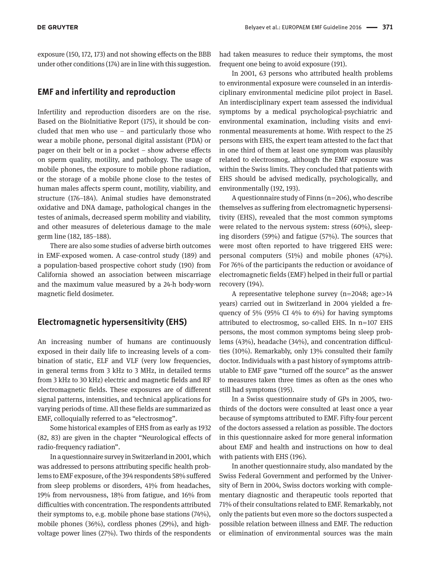exposure (150, 172, 173) and not showing effects on the BBB under other conditions (174) are in line with this suggestion.

#### **EMF and infertility and reproduction**

Infertility and reproduction disorders are on the rise. Based on the BioInitiative Report (175), it should be concluded that men who use – and particularly those who wear a mobile phone, personal digital assistant (PDA) or pager on their belt or in a pocket – show adverse effects on sperm quality, motility, and pathology. The usage of mobile phones, the exposure to mobile phone radiation, or the storage of a mobile phone close to the testes of human males affects sperm count, motility, viability, and structure (176–184). Animal studies have demonstrated oxidative and DNA damage, pathological changes in the testes of animals, decreased sperm mobility and viability, and other measures of deleterious damage to the male germ line (182, 185–188).

There are also some studies of adverse birth outcomes in EMF-exposed women. A case-control study (189) and a population-based prospective cohort study (190) from California showed an association between miscarriage and the maximum value measured by a 24-h body-worn magnetic field dosimeter.

#### **Electromagnetic hypersensitivity (EHS)**

An increasing number of humans are continuously exposed in their daily life to increasing levels of a combination of static, ELF and VLF (very low frequencies, in general terms from 3 kHz to 3 MHz, in detailed terms from 3 kHz to 30 kHz) electric and magnetic fields and RF electromagnetic fields. These exposures are of different signal patterns, intensities, and technical applications for varying periods of time. All these fields are summarized as EMF, colloquially referred to as "electrosmog".

Some historical examples of EHS from as early as 1932 (82, 83) are given in the chapter "Neurological effects of radio-frequency radiation".

In a questionnaire survey in Switzerland in 2001, which was addressed to persons attributing specific health problems to EMF exposure, of the 394 respondents 58% suffered from sleep problems or disorders, 41% from headaches, 19% from nervousness, 18% from fatigue, and 16% from difficulties with concentration. The respondents attributed their symptoms to, e.g. mobile phone base stations (74%), mobile phones (36%), cordless phones (29%), and highvoltage power lines (27%). Two thirds of the respondents had taken measures to reduce their symptoms, the most frequent one being to avoid exposure (191).

In 2001, 63 persons who attributed health problems to environmental exposure were counseled in an interdisciplinary environmental medicine pilot project in Basel. An interdisciplinary expert team assessed the individual symptoms by a medical psychological-psychiatric and environmental examination, including visits and environmental measurements at home. With respect to the 25 persons with EHS, the expert team attested to the fact that in one third of them at least one symptom was plausibly related to electrosmog, although the EMF exposure was within the Swiss limits. They concluded that patients with EHS should be advised medically, psychologically, and environmentally (192, 193).

A questionnaire study of Finns  $(n=206)$ , who describe themselves as suffering from electromagnetic hypersensitivity (EHS), revealed that the most common symptoms were related to the nervous system: stress (60%), sleeping disorders (59%) and fatigue (57%). The sources that were most often reported to have triggered EHS were: personal computers (51%) and mobile phones (47%). For 76% of the participants the reduction or avoidance of electromagnetic fields (EMF) helped in their full or partial recovery (194).

A representative telephone survey ( $n=2048$ ; age> $14$ years) carried out in Switzerland in 2004 yielded a frequency of 5% (95% CI 4% to 6%) for having symptoms attributed to electrosmog, so-called EHS. In  $n=107$  EHS persons, the most common symptoms being sleep problems (43%), headache (34%), and concentration difficulties (10%). Remarkably, only 13% consulted their family doctor. Individuals with a past history of symptoms attributable to EMF gave "turned off the source" as the answer to measures taken three times as often as the ones who still had symptoms (195).

In a Swiss questionnaire study of GPs in 2005, twothirds of the doctors were consulted at least once a year because of symptoms attributed to EMF. Fifty-four percent of the doctors assessed a relation as possible. The doctors in this questionnaire asked for more general information about EMF and health and instructions on how to deal with patients with EHS (196).

In another questionnaire study, also mandated by the Swiss Federal Government and performed by the University of Bern in 2004, Swiss doctors working with complementary diagnostic and therapeutic tools reported that 71% of their consultations related to EMF. Remarkably, not only the patients but even more so the doctors suspected a possible relation between illness and EMF. The reduction or elimination of environmental sources was the main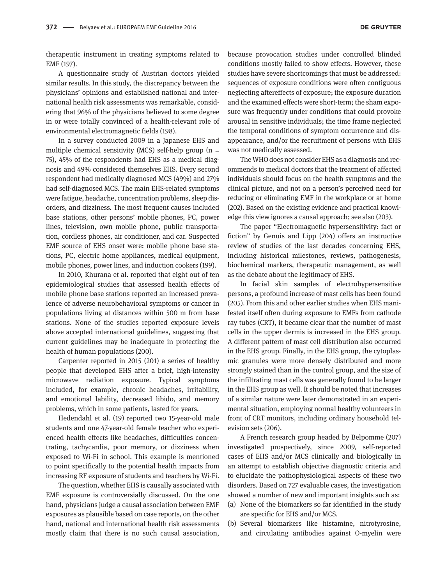therapeutic instrument in treating symptoms related to EMF (197).

A questionnaire study of Austrian doctors yielded similar results. In this study, the discrepancy between the physicians' opinions and established national and international health risk assessments was remarkable, considering that 96% of the physicians believed to some degree in or were totally convinced of a health-relevant role of environmental electromagnetic fields (198).

In a survey conducted 2009 in a Japanese EHS and multiple chemical sensitivity (MCS) self-help group ( $n =$ 75), 45% of the respondents had EHS as a medical diagnosis and 49% considered themselves EHS. Every second respondent had medically diagnosed MCS (49%) and 27% had self-diagnosed MCS. The main EHS-related symptoms were fatigue, headache, concentration problems, sleep disorders, and dizziness. The most frequent causes included base stations, other persons' mobile phones, PC, power lines, television, own mobile phone, public transportation, cordless phones, air conditioner, and car. Suspected EMF source of EHS onset were: mobile phone base stations, PC, electric home appliances, medical equipment, mobile phones, power lines, and induction cookers (199).

In 2010, Khurana et al. reported that eight out of ten epidemiological studies that assessed health effects of mobile phone base stations reported an increased prevalence of adverse neurobehavioral symptoms or cancer in populations living at distances within 500 m from base stations. None of the studies reported exposure levels above accepted international guidelines, suggesting that current guidelines may be inadequate in protecting the health of human populations (200).

Carpenter reported in 2015 (201) a series of healthy people that developed EHS after a brief, high-intensity microwave radiation exposure. Typical symptoms included, for example, chronic headaches, irritability, and emotional lability, decreased libido, and memory problems, which in some patients, lasted for years.

Hedendahl et al. (19) reported two 15-year-old male students and one 47-year-old female teacher who experienced health effects like headaches, difficulties concentrating, tachycardia, poor memory, or dizziness when exposed to Wi-Fi in school. This example is mentioned to point specifically to the potential health impacts from increasing RF exposure of students and teachers by Wi-Fi.

The question, whether EHS is causally associated with EMF exposure is controversially discussed. On the one hand, physicians judge a causal association between EMF exposures as plausible based on case reports, on the other hand, national and international health risk assessments mostly claim that there is no such causal association,

because provocation studies under controlled blinded conditions mostly failed to show effects. However, these studies have severe shortcomings that must be addressed: sequences of exposure conditions were often contiguous neglecting aftereffects of exposure; the exposure duration and the examined effects were short-term; the sham exposure was frequently under conditions that could provoke arousal in sensitive individuals; the time frame neglected the temporal conditions of symptom occurrence and disappearance, and/or the recruitment of persons with EHS was not medically assessed.

The WHO does not consider EHS as a diagnosis and recommends to medical doctors that the treatment of affected individuals should focus on the health symptoms and the clinical picture, and not on a person's perceived need for reducing or eliminating EMF in the workplace or at home (202). Based on the existing evidence and practical knowledge this view ignores a causal approach; see also (203).

The paper "Electromagnetic hypersensitivity: fact or fiction" by Genuis and Lipp (204) offers an instructive review of studies of the last decades concerning EHS, including historical milestones, reviews, pathogenesis, biochemical markers, therapeutic management, as well as the debate about the legitimacy of EHS.

In facial skin samples of electrohypersensitive persons, a profound increase of mast cells has been found (205). From this and other earlier studies when EHS manifested itself often during exposure to EMFs from cathode ray tubes (CRT), it became clear that the number of mast cells in the upper dermis is increased in the EHS group. A different pattern of mast cell distribution also occurred in the EHS group. Finally, in the EHS group, the cytoplasmic granules were more densely distributed and more strongly stained than in the control group, and the size of the infiltrating mast cells was generally found to be larger in the EHS group as well. It should be noted that increases of a similar nature were later demonstrated in an experimental situation, employing normal healthy volunteers in front of CRT monitors, including ordinary household television sets (206).

A French research group headed by Belpomme (207) investigated prospectively, since 2009, self-reported cases of EHS and/or MCS clinically and biologically in an attempt to establish objective diagnostic criteria and to elucidate the pathophysiological aspects of these two disorders. Based on 727 evaluable cases, the investigation showed a number of new and important insights such as:

- (a) None of the biomarkers so far identified in the study are specific for EHS and/or MCS.
- (b) Several biomarkers like histamine, nitrotyrosine, and circulating antibodies against O-myelin were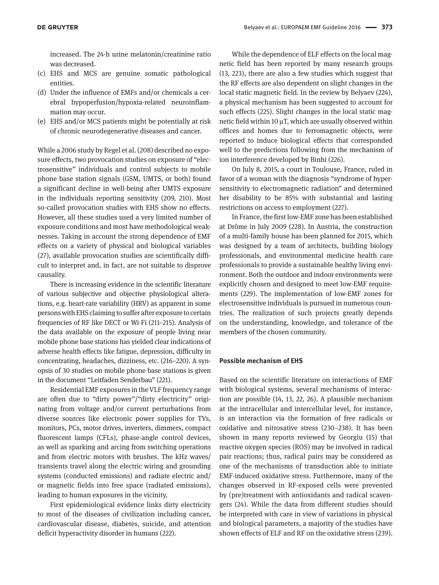increased. The 24-h urine melatonin/creatinine ratio was decreased.

- (c) EHS and MCS are genuine somatic pathological entities.
- (d) Under the influence of EMFs and/or chemicals a cerebral hypoperfusion/hypoxia-related neuroinflammation may occur.
- (e) EHS and/or MCS patients might be potentially at risk of chronic neurodegenerative diseases and cancer.

While a 2006 study by Regel et al. (208) described no exposure effects, two provocation studies on exposure of "electrosensitive" individuals and control subjects to mobile phone base station signals (GSM, UMTS, or both) found a significant decline in well-being after UMTS exposure in the individuals reporting sensitivity (209, 210). Most so-called provocation studies with EHS show no effects. However, all these studies used a very limited number of exposure conditions and most have methodological weaknesses. Taking in account the strong dependence of EMF effects on a variety of physical and biological variables (27), available provocation studies are scientifically difficult to interpret and, in fact, are not suitable to disprove causality.

There is increasing evidence in the scientific literature of various subjective and objective physiological alterations, e.g. heart-rate variability (HRV) as apparent in some persons with EHS claiming to suffer after exposure to certain frequencies of RF like DECT or Wi-Fi (211–215). Analysis of the data available on the exposure of people living near mobile phone base stations has yielded clear indications of adverse health effects like fatigue, depression, difficulty in concentrating, headaches, dizziness, etc. (216–220). A synopsis of 30 studies on mobile phone base stations is given in the document "Leitfaden Senderbau" (221).

Residential EMF exposures in the VLF frequency range are often due to "dirty power"/"dirty electricity" originating from voltage and/or current perturbations from diverse sources like electronic power supplies for TVs, monitors, PCs, motor drives, inverters, dimmers, compact fluorescent lamps (CFLs), phase-angle control devices, as well as sparking and arcing from switching operations and from electric motors with brushes. The kHz waves/ transients travel along the electric wiring and grounding systems (conducted emissions) and radiate electric and/ or magnetic fields into free space (radiated emissions), leading to human exposures in the vicinity.

First epidemiological evidence links dirty electricity to most of the diseases of civilization including cancer, cardiovascular disease, diabetes, suicide, and attention deficit hyperactivity disorder in humans (222).

While the dependence of ELF effects on the local magnetic field has been reported by many research groups (13, 223), there are also a few studies which suggest that the RF effects are also dependent on slight changes in the local static magnetic field. In the review by Belyaev (224), a physical mechanism has been suggested to account for such effects (225). Slight changes in the local static magnetic field within 10 μT, which are usually observed within offices and homes due to ferromagnetic objects, were reported to induce biological effects that corresponded well to the predictions following from the mechanism of ion interference developed by Binhi (226).

On July 8, 2015, a court in Toulouse, France, ruled in favor of a woman with the diagnosis "syndrome of hypersensitivity to electromagnetic radiation" and determined her disability to be 85% with substantial and lasting restrictions on access to employment (227).

In France, the first low-EMF zone has been established at Drôme in July 2009 (228). In Austria, the construction of a multi-family house has been planned for 2015, which was designed by a team of architects, building biology professionals, and environmental medicine health care professionals to provide a sustainable healthy living environment. Both the outdoor and indoor environments were explicitly chosen and designed to meet low-EMF requirements (229). The implementation of low-EMF zones for electrosensitive individuals is pursued in numerous countries. The realization of such projects greatly depends on the understanding, knowledge, and tolerance of the members of the chosen community.

#### **Possible mechanism of EHS**

Based on the scientific literature on interactions of EMF with biological systems, several mechanisms of interaction are possible (14, 13, 22, 26). A plausible mechanism at the intracellular and intercellular level, for instance, is an interaction via the formation of free radicals or oxidative and nitrosative stress (230–238). It has been shown in many reports reviewed by Georgiu (15) that reactive oxygen species (ROS) may be involved in radical pair reactions; thus, radical pairs may be considered as one of the mechanisms of transduction able to initiate EMF-induced oxidative stress. Furthermore, many of the changes observed in RF-exposed cells were prevented by (pre)treatment with antioxidants and radical scavengers (24). While the data from different studies should be interpreted with care in view of variations in physical and biological parameters, a majority of the studies have shown effects of ELF and RF on the oxidative stress (239).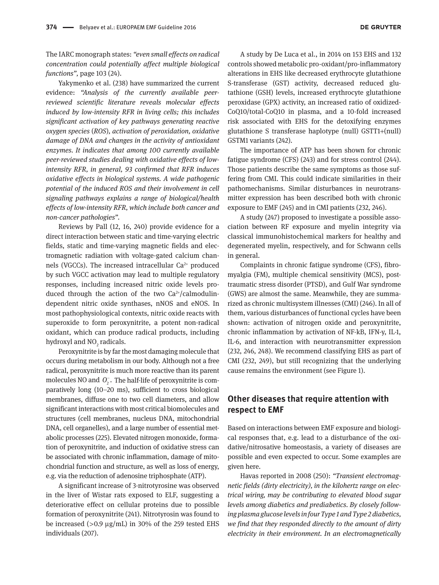The IARC monograph states: *"even small effects on radical concentration could potentially affect multiple biological functions",* page 103 (24).

Yakymenko et al. (238) have summarized the current evidence: *"Analysis of the currently available peerreviewed scientific literature reveals molecular effects induced by low-intensity RFR in living cells; this includes significant activation of key pathways generating reactive oxygen species* (*ROS*)*, activation of peroxidation, oxidative damage of DNA and changes in the activity of antioxidant enzymes. It indicates that among 100 currently available peer-reviewed studies dealing with oxidative effects of lowintensity RFR, in general, 93 confirmed that RFR induces oxidative effects in biological systems. A wide pathogenic potential of the induced ROS and their involvement in cell signaling pathways explains a range of biological/health effects of low-intensity RFR, which include both cancer and non-cancer pathologies".*

Reviews by Pall (12, 16, 240) provide evidence for a direct interaction between static and time-varying electric fields, static and time-varying magnetic fields and electromagnetic radiation with voltage-gated calcium channels (VGCCs). The increased intracellular Ca<sup>2+</sup> produced by such VGCC activation may lead to multiple regulatory responses, including increased nitric oxide levels produced through the action of the two Ca2<sup>+</sup> /calmodulindependent nitric oxide synthases, nNOS and eNOS. In most pathophysiological contexts, nitric oxide reacts with superoxide to form peroxynitrite, a potent non-radical oxidant, which can produce radical products, including hydroxyl and  $\rm NO_2$  radicals.

Peroxynitrite is by far the most damaging molecule that occurs during metabolism in our body. Although not a free radical, peroxynitrite is much more reactive than its parent molecules NO and O<sub>2</sub>. The half-life of peroxynitrite is comparatively long (10–20 ms), sufficient to cross biological membranes, diffuse one to two cell diameters, and allow significant interactions with most critical biomolecules and structures (cell membranes, nucleus DNA, mitochondrial DNA, cell organelles), and a large number of essential metabolic processes (225). Elevated nitrogen monoxide, formation of peroxynitrite, and induction of oxidative stress can be associated with chronic inflammation, damage of mitochondrial function and structure, as well as loss of energy, e.g. via the reduction of adenosine triphosphate (ATP).

A significant increase of 3-nitrotyrosine was observed in the liver of Wistar rats exposed to ELF, suggesting a deteriorative effect on cellular proteins due to possible formation of peroxynitrite (241). Nitrotyrosin was found to be increased  $(>0.9 \mu g/mL)$  in 30% of the 259 tested EHS individuals (207).

A study by De Luca et al., in 2014 on 153 EHS and 132 controls showed metabolic pro-oxidant/pro-inflammatory alterations in EHS like decreased erythrocyte glutathione S-transferase (GST) activity, decreased reduced glutathione (GSH) levels, increased erythrocyte glutathione peroxidase (GPX) activity, an increased ratio of oxidized-CoQ10/total-CoQ10 in plasma, and a 10-fold increased risk associated with EHS for the detoxifying enzymes glutathione S transferase haplotype (null) GSTT1+(null) GSTM1 variants (242).

The importance of ATP has been shown for chronic fatigue syndrome (CFS) (243) and for stress control (244). Those patients describe the same symptoms as those suffering from CMI. This could indicate similarities in their pathomechanisms. Similar disturbances in neurotransmitter expression has been described both with chronic exposure to EMF (245) and in CMI patients (232, 246).

A study (247) proposed to investigate a possible association between RF exposure and myelin integrity via classical immunohistochemical markers for healthy and degenerated myelin, respectively, and for Schwann cells in general.

Complaints in chronic fatigue syndrome (CFS), fibromyalgia (FM), multiple chemical sensitivity (MCS), posttraumatic stress disorder (PTSD), and Gulf War syndrome (GWS) are almost the same. Meanwhile, they are summarized as chronic multisystem illnesses (CMI) (246). In all of them, various disturbances of functional cycles have been shown: activation of nitrogen oxide and peroxynitrite, chronic inflammation by activation of NF-kB, IFN-y, IL-1, IL-6, and interaction with neurotransmitter expression (232, 246, 248). We recommend classifying EHS as part of CMI (232, 249), but still recognizing that the underlying cause remains the environment (see Figure 1).

## **Other diseases that require attention with respect to EMF**

Based on interactions between EMF exposure and biological responses that, e.g. lead to a disturbance of the oxidative/nitrosative homeostasis, a variety of diseases are possible and even expected to occur. Some examples are given here.

Havas reported in 2008 (250): *"Transient electromagnetic fields (dirty electricity), in the kilohertz range on electrical wiring, may be contributing to elevated blood sugar levels among diabetics and prediabetics. By closely following plasma glucose levels in four Type 1 and Type 2 diabetics, we find that they responded directly to the amount of dirty electricity in their environment. In an electromagnetically*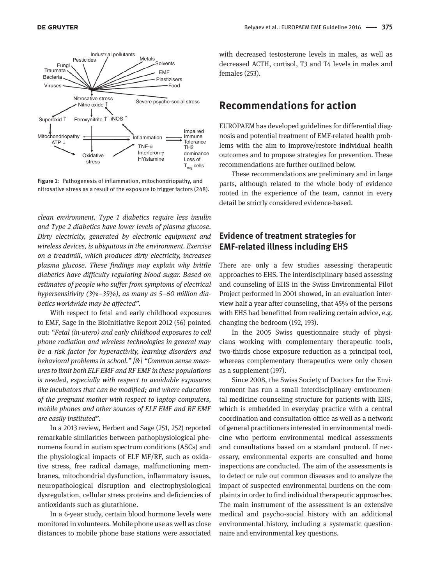

**Figure 1:** Pathogenesis of inflammation, mitochondriopathy, and nitrosative stress as a result of the exposure to trigger factors (248).

*clean environment, Type 1 diabetics require less insulin and Type 2 diabetics have lower levels of plasma glucose. Dirty electricity, generated by electronic equipment and wireless devices, is ubiquitous in the environment. Exercise on a treadmill, which produces dirty electricity, increases plasma glucose. These findings may explain why brittle diabetics have difficulty regulating blood sugar. Based on estimates of people who suffer from symptoms of electrical hypersensitivity (3%–35%), as many as 5–60 million diabetics worldwide may be affected".*

With respect to fetal and early childhood exposures to EMF, Sage in the BioInitiative Report 2012 (56) pointed out: *"Fetal (in-utero) and early childhood exposures to cell phone radiation and wireless technologies in general may be a risk factor for hyperactivity, learning disorders and behavioral problems in school." [&] "Common sense measures to limit both ELF EMF and RF EMF in these populations is needed, especially with respect to avoidable exposures like incubators that can be modified; and where education of the pregnant mother with respect to laptop computers, mobile phones and other sources of ELF EMF and RF EMF are easily instituted".*

In a 2013 review, Herbert and Sage (251, 252) reported remarkable similarities between pathophysiological phenomena found in autism spectrum conditions (ASCs) and the physiological impacts of ELF MF/RF, such as oxidative stress, free radical damage, malfunctioning membranes, mitochondrial dysfunction, inflammatory issues, neuropathological disruption and electrophysiological dysregulation, cellular stress proteins and deficiencies of antioxidants such as glutathione.

In a 6-year study, certain blood hormone levels were monitored in volunteers. Mobile phone use as well as close distances to mobile phone base stations were associated

with decreased testosterone levels in males, as well as decreased ACTH, cortisol, T3 and T4 levels in males and females (253).

## **Recommendations for action**

EUROPAEM has developed guidelines for differential diagnosis and potential treatment of EMF-related health problems with the aim to improve/restore individual health outcomes and to propose strategies for prevention. These recommendations are further outlined below.

These recommendations are preliminary and in large parts, although related to the whole body of evidence rooted in the experience of the team, cannot in every detail be strictly considered evidence-based.

## **Evidence of treatment strategies for EMF-related illness including EHS**

There are only a few studies assessing therapeutic approaches to EHS. The interdisciplinary based assessing and counseling of EHS in the Swiss Environmental Pilot Project performed in 2001 showed, in an evaluation interview half a year after counseling, that 45% of the persons with EHS had benefitted from realizing certain advice, e.g. changing the bedroom (192, 193).

In the 2005 Swiss questionnaire study of physicians working with complementary therapeutic tools, two-thirds chose exposure reduction as a principal tool, whereas complementary therapeutics were only chosen as a supplement (197).

Since 2008, the Swiss Society of Doctors for the Environment has run a small interdisciplinary environmental medicine counseling structure for patients with EHS, which is embedded in everyday practice with a central coordination and consultation office as well as a network of general practitioners interested in environmental medicine who perform environmental medical assessments and consultations based on a standard protocol. If necessary, environmental experts are consulted and home inspections are conducted. The aim of the assessments is to detect or rule out common diseases and to analyze the impact of suspected environmental burdens on the complaints in order to find individual therapeutic approaches. The main instrument of the assessment is an extensive medical and psycho-social history with an additional environmental history, including a systematic questionnaire and environmental key questions.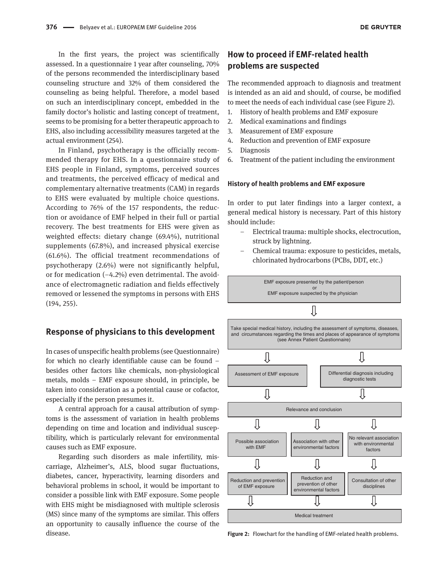**DE GRUYTER** 

In the first years, the project was scientifically assessed. In a questionnaire 1 year after counseling, 70% of the persons recommended the interdisciplinary based counseling structure and 32% of them considered the counseling as being helpful. Therefore, a model based on such an interdisciplinary concept, embedded in the family doctor's holistic and lasting concept of treatment, seems to be promising for a better therapeutic approach to EHS, also including accessibility measures targeted at the actual environment (254).

In Finland, psychotherapy is the officially recommended therapy for EHS. In a questionnaire study of EHS people in Finland, symptoms, perceived sources and treatments, the perceived efficacy of medical and complementary alternative treatments (CAM) in regards to EHS were evaluated by multiple choice questions. According to 76% of the 157 respondents, the reduction or avoidance of EMF helped in their full or partial recovery. The best treatments for EHS were given as weighted effects: dietary change (69.4%), nutritional supplements (67.8%), and increased physical exercise (61.6%). The official treatment recommendations of psychotherapy (2.6%) were not significantly helpful, or for medication (–4.2%) even detrimental. The avoidance of electromagnetic radiation and fields effectively removed or lessened the symptoms in persons with EHS (194, 255).

#### **Response of physicians to this development**

In cases of unspecific health problems (see Questionnaire) for which no clearly identifiable cause can be found – besides other factors like chemicals, non-physiological metals, molds – EMF exposure should, in principle, be taken into consideration as a potential cause or cofactor, especially if the person presumes it.

A central approach for a causal attribution of symptoms is the assessment of variation in health problems depending on time and location and individual susceptibility, which is particularly relevant for environmental causes such as EMF exposure.

Regarding such disorders as male infertility, miscarriage, Alzheimer's, ALS, blood sugar fluctuations, diabetes, cancer, hyperactivity, learning disorders and behavioral problems in school, it would be important to consider a possible link with EMF exposure. Some people with EHS might be misdiagnosed with multiple sclerosis (MS) since many of the symptoms are similar. This offers an opportunity to causally influence the course of the disease.

## **How to proceed if EMF-related health problems are suspected**

The recommended approach to diagnosis and treatment is intended as an aid and should, of course, be modified to meet the needs of each individual case (see Figure 2).

- 1. History of health problems and EMF exposure
- 2. Medical examinations and findings
- 3. Measurement of EMF exposure
- 4. Reduction and prevention of EMF exposure
- 5. Diagnosis
- 6. Treatment of the patient including the environment

#### **History of health problems and EMF exposure**

In order to put later findings into a larger context, a general medical history is necessary. Part of this history should include:

- Electrical trauma: multiple shocks, electrocution, struck by lightning.
- Chemical trauma: exposure to pesticides, metals, chlorinated hydrocarbons (PCBs, DDT, etc.)



**Figure 2:** Flowchart for the handling of EMF-related health problems.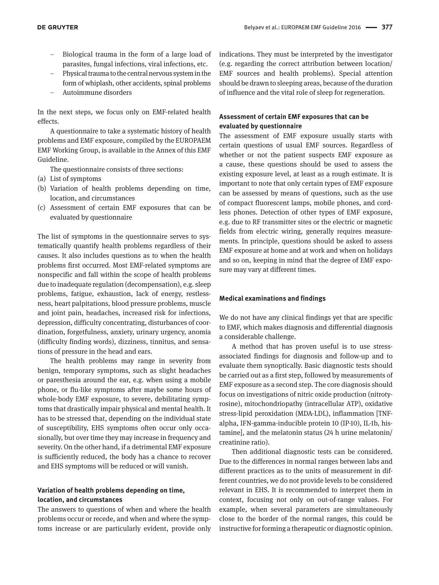- Biological trauma in the form of a large load of parasites, fungal infections, viral infections, etc.
- Physical trauma to the central nervous system in the form of whiplash, other accidents, spinal problems
- Autoimmune disorders

In the next steps, we focus only on EMF-related health effects.

A questionnaire to take a systematic history of health problems and EMF exposure, compiled by the EUROPAEM EMF Working Group, is available in the Annex of this EMF Guideline.

The questionnaire consists of three sections:

- (a) List of symptoms
- (b) Variation of health problems depending on time, location, and circumstances
- (c) Assessment of certain EMF exposures that can be evaluated by questionnaire

The list of symptoms in the questionnaire serves to systematically quantify health problems regardless of their causes. It also includes questions as to when the health problems first occurred. Most EMF-related symptoms are nonspecific and fall within the scope of health problems due to inadequate regulation (decompensation), e.g. sleep problems, fatigue, exhaustion, lack of energy, restlessness, heart palpitations, blood pressure problems, muscle and joint pain, headaches, increased risk for infections, depression, difficulty concentrating, disturbances of coordination, forgetfulness, anxiety, urinary urgency, anomia (difficulty finding words), dizziness, tinnitus, and sensations of pressure in the head and ears.

The health problems may range in severity from benign, temporary symptoms, such as slight headaches or paresthesia around the ear, e.g. when using a mobile phone, or flu-like symptoms after maybe some hours of whole-body EMF exposure, to severe, debilitating symptoms that drastically impair physical and mental health. It has to be stressed that, depending on the individual state of susceptibility, EHS symptoms often occur only occasionally, but over time they may increase in frequency and severity. On the other hand, if a detrimental EMF exposure is sufficiently reduced, the body has a chance to recover and EHS symptoms will be reduced or will vanish.

#### **Variation of health problems depending on time, location, and circumstances**

The answers to questions of when and where the health problems occur or recede, and when and where the symptoms increase or are particularly evident, provide only indications. They must be interpreted by the investigator (e.g. regarding the correct attribution between location/ EMF sources and health problems). Special attention should be drawn to sleeping areas, because of the duration of influence and the vital role of sleep for regeneration.

#### **Assessment of certain EMF exposures that can be evaluated by questionnaire**

The assessment of EMF exposure usually starts with certain questions of usual EMF sources. Regardless of whether or not the patient suspects EMF exposure as a cause, these questions should be used to assess the existing exposure level, at least as a rough estimate. It is important to note that only certain types of EMF exposure can be assessed by means of questions, such as the use of compact fluorescent lamps, mobile phones, and cordless phones. Detection of other types of EMF exposure, e.g. due to RF transmitter sites or the electric or magnetic fields from electric wiring, generally requires measurements. In principle, questions should be asked to assess EMF exposure at home and at work and when on holidays and so on, keeping in mind that the degree of EMF exposure may vary at different times.

#### **Medical examinations and findings**

We do not have any clinical findings yet that are specific to EMF, which makes diagnosis and differential diagnosis a considerable challenge.

A method that has proven useful is to use stressassociated findings for diagnosis and follow-up and to evaluate them synoptically. Basic diagnostic tests should be carried out as a first step, followed by measurements of EMF exposure as a second step. The core diagnosis should focus on investigations of nitric oxide production (nitrotyrosine), mitochondriopathy (intracellular ATP), oxidative stress-lipid peroxidation (MDA-LDL), inflammation [TNFalpha, IFN-gamma-inducible protein 10 (IP-10), IL-1b, histamine], and the melatonin status (24 h urine melatonin/ creatinine ratio).

Then additional diagnostic tests can be considered. Due to the differences in normal ranges between labs and different practices as to the units of measurement in different countries, we do not provide levels to be considered relevant in EHS. It is recommended to interpret them in context, focusing not only on out-of-range values. For example, when several parameters are simultaneously close to the border of the normal ranges, this could be instructive for forming a therapeutic or diagnostic opinion.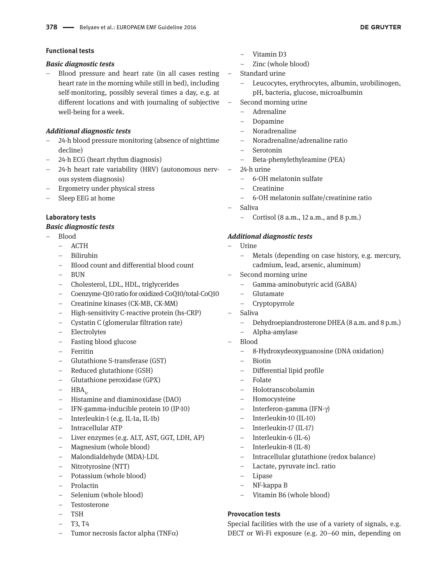#### **Functional tests**

#### *Basic diagnostic tests*

– Blood pressure and heart rate (in all cases resting heart rate in the morning while still in bed), including self-monitoring, possibly several times a day, e.g. at different locations and with journaling of subjective well-being for a week.

#### *Additional diagnostic tests*

- 24-h blood pressure monitoring (absence of nighttime decline)
- 24-h ECG (heart rhythm diagnosis)
- 24-h heart rate variability (HRV) (autonomous nervous system diagnosis)
- Ergometry under physical stress
- Sleep EEG at home

#### **Laboratory tests**

#### *Basic diagnostic tests*

- Blood
	- ACTH
	- Bilirubin
	- Blood count and differential blood count
	- BUN
	- Cholesterol, LDL, HDL, triglycerides
	- Coenzyme-Q10 ratio for oxidized-CoQ10/total-CoQ10
	- Creatinine kinases (CK-MB, CK-MM)
	- High-sensitivity C-reactive protein (hs-CRP)
	- Cystatin C (glomerular filtration rate)
	- Electrolytes
	- Fasting blood glucose
	- **Ferritin**
	- Glutathione S-transferase (GST)
	- Reduced glutathione (GSH)
	- Glutathione peroxidase (GPX)
	- $HBA$ <sub>1c</sub>
	- Histamine and diaminoxidase (DAO)
	- IFN-gamma-inducible protein 10 (IP-10)
	- Interleukin-1 (e.g. IL-1a, IL-1b)
	- Intracellular ATP
	- Liver enzymes (e.g. ALT, AST, GGT, LDH, AP)
	- Magnesium (whole blood)
	- Malondialdehyde (MDA)-LDL
	- Nitrotyrosine (NTT)
	- Potassium (whole blood)
	- Prolactin
	- Selenium (whole blood)
	- Testosterone
	- TSH
	- $-$  T<sub>3</sub>, T<sub>4</sub>
	- Tumor necrosis factor alpha (TNF $\alpha$ )
- Vitamin D3
- Zinc (whole blood)
- Standard urine
	- Leucocytes, erythrocytes, albumin, urobilinogen, pH, bacteria, glucose, microalbumin
- Second morning urine
	- Adrenaline
	- Dopamine
	- Noradrenaline
	- Noradrenaline/adrenaline ratio
	- Serotonin
	- Beta-phenylethyleamine (PEA)
- 24-h urine
	- 6-OH melatonin sulfate
	- Creatinine
	- 6-OH melatonin sulfate/creatinine ratio
- Saliva
	- Cortisol  $(8 a.m., 12 a.m., and 8 p.m.)$

#### *Additional diagnostic tests*

- Urine
	- Metals (depending on case history, e.g. mercury, cadmium, lead, arsenic, aluminum)
- Second morning urine
	- Gamma-aminobutyric acid (GABA)
	- Glutamate
	- **Cryptopyrrole**
- Saliva
	- Dehydroepiandrosterone DHEA (8 a.m. and 8 p.m.)
	- Alpha-amylase
- Blood
	- 8-Hydroxydeoxyguanosine (DNA oxidation)
	- Biotin
	- Differential lipid profile
	- Folate
	- Holotranscobolamin
	- Homocysteine
	- Interferon-gamma (IFN-γ)
	- Interleukin-10 (IL-10)
	- Interleukin-17 (IL-17)
	- Interleukin-6 (IL-6)
	- Interleukin-8 (IL-8)
	- Intracellular glutathione (redox balance)
	- Lactate, pyruvate incl. ratio
	- Lipase
	- NF-kappa B
	- Vitamin B6 (whole blood)

#### **Provocation tests**

Special facilities with the use of a variety of signals, e.g. DECT or Wi-Fi exposure (e.g. 20–60 min, depending on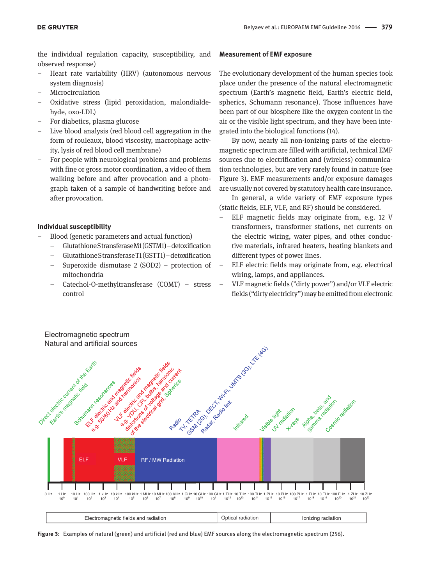the individual regulation capacity, susceptibility, and observed response)

- Heart rate variability (HRV) (autonomous nervous system diagnosis)
- **Microcirculation**
- Oxidative stress (lipid peroxidation, malondialdehyde, oxo-LDL)
- For diabetics, plasma glucose
- Live blood analysis (red blood cell aggregation in the form of rouleaux, blood viscosity, macrophage activity, lysis of red blood cell membrane)
- For people with neurological problems and problems with fine or gross motor coordination, a video of them walking before and after provocation and a photograph taken of a sample of handwriting before and after provocation.

#### **Individual susceptibility**

- Blood (genetic parameters and actual function)
	- Glutathione S transferase M1 (GSTM1) detoxification
	- Glutathione S transferase T1 (GSTT1) detoxification
	- Superoxide dismutase 2 (SOD2) protection of mitochondria
	- Catechol-O-methyltransferase (COMT) stress control

#### **Measurement of EMF exposure**

The evolutionary development of the human species took place under the presence of the natural electromagnetic spectrum (Earth's magnetic field, Earth's electric field, spherics, Schumann resonance). Those influences have been part of our biosphere like the oxygen content in the air or the visible light spectrum, and they have been integrated into the biological functions (14).

By now, nearly all non-ionizing parts of the electromagnetic spectrum are filled with artificial, technical EMF sources due to electrification and (wireless) communication technologies, but are very rarely found in nature (see Figure 3). EMF measurements and/or exposure damages are usually not covered by statutory health care insurance.

In general, a wide variety of EMF exposure types (static fields, ELF, VLF, and RF) should be considered.

- ELF magnetic fields may originate from, e.g. 12 V transformers, transformer stations, net currents on the electric wiring, water pipes, and other conductive materials, infrared heaters, heating blankets and different types of power lines.
- ELF electric fields may originate from, e.g. electrical wiring, lamps, and appliances.
- VLF magnetic fields ("dirty power") and/or VLF electric fields ("dirty electricity") may be emitted from electronic



**Figure 3:** Examples of natural (green) and artificial (red and blue) EMF sources along the electromagnetic spectrum (256).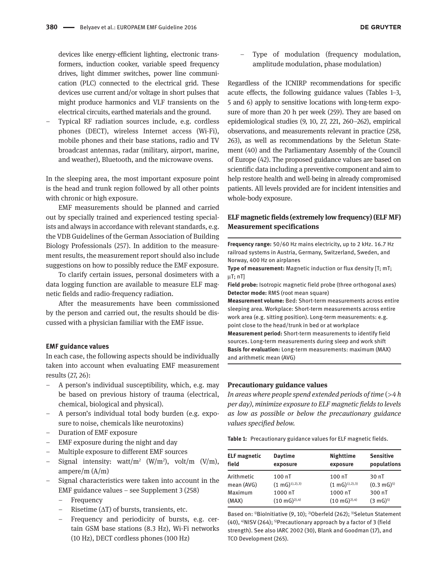devices like energy-efficient lighting, electronic transformers, induction cooker, variable speed frequency drives, light dimmer switches, power line communication (PLC) connected to the electrical grid. These devices use current and/or voltage in short pulses that might produce harmonics and VLF transients on the electrical circuits, earthed materials and the ground.

– Typical RF radiation sources include, e.g. cordless phones (DECT), wireless Internet access (Wi-Fi), mobile phones and their base stations, radio and TV broadcast antennas, radar (military, airport, marine, and weather), Bluetooth, and the microwave ovens.

In the sleeping area, the most important exposure point is the head and trunk region followed by all other points with chronic or high exposure.

EMF measurements should be planned and carried out by specially trained and experienced testing specialists and always in accordance with relevant standards, e.g. the VDB Guidelines of the German Association of Building Biology Professionals (257). In addition to the measurement results, the measurement report should also include suggestions on how to possibly reduce the EMF exposure.

To clarify certain issues, personal dosimeters with a data logging function are available to measure ELF magnetic fields and radio-frequency radiation.

After the measurements have been commissioned by the person and carried out, the results should be discussed with a physician familiar with the EMF issue.

#### **EMF guidance values**

In each case, the following aspects should be individually taken into account when evaluating EMF measurement results (27, 26):

- A person's individual susceptibility, which, e.g. may be based on previous history of trauma (electrical, chemical, biological and physical).
- A person's individual total body burden (e.g. exposure to noise, chemicals like neurotoxins)
- Duration of EMF exposure
- EMF exposure during the night and day
- Multiple exposure to different EMF sources
- $-$  Signal intensity: watt/m<sup>2</sup> (W/m<sup>2</sup>), volt/m (V/m), ampere/m (A/m)
- Signal characteristics were taken into account in the EMF guidance values – see Supplement 3 (258)
	- Frequency
	- Risetime  $(\Delta T)$  of bursts, transients, etc.
	- Frequency and periodicity of bursts, e.g. certain GSM base stations (8.3 Hz), Wi-Fi networks (10 Hz), DECT cordless phones (100 Hz)

– Type of modulation (frequency modulation, amplitude modulation, phase modulation)

Regardless of the ICNIRP recommendations for specific acute effects, the following guidance values (Tables 1–3, 5 and 6) apply to sensitive locations with long-term exposure of more than 20 h per week (259). They are based on epidemiological studies (9, 10, 27, 221, 260–262), empirical observations, and measurements relevant in practice (258, 263), as well as recommendations by the Seletun Statement (40) and the Parliamentary Assembly of the Council of Europe (42). The proposed guidance values are based on scientific data including a preventive component and aim to help restore health and well-being in already compromised patients. All levels provided are for incident intensities and whole-body exposure.

#### **ELF magnetic fields (extremely low frequency) (ELF MF) Measurement specifications**

**Frequency range:** 50/60 Hz mains electricity, up to 2 kHz. 16.7 Hz railroad systems in Austria, Germany, Switzerland, Sweden, and Norway, 400 Hz on airplanes

**Type of measurement:** Magnetic induction or flux density [T; mT; μT; nT]

**Field probe:** Isotropic magnetic field probe (three orthogonal axes) **Detector mode:** RMS (root mean square)

**Measurement volume:** Bed: Short-term measurements across entire sleeping area. Workplace: Short-term measurements across entire work area (e.g. sitting position). Long-term measurements: e.g. point close to the head/trunk in bed or at workplace **Measurement period:** Short-term measurements to identify field sources. Long-term measurements during sleep and work shift **Basis for evaluation:** Long-term measurements: maximum (MAX)

and arithmetic mean (AVG)

#### **Precautionary guidance values**

*In areas where people spend extended periods of time (>4 h per day), minimize exposure to ELF magnetic fields to levels as low as possible or below the precautionary guidance values specified below.*

**Table 1:** Precautionary guidance values for ELF magnetic fields.

| <b>ELF</b> magnetic | Daytime                       | <b>Nighttime</b>              | <b>Sensitive</b>       |
|---------------------|-------------------------------|-------------------------------|------------------------|
| field               | exposure                      | exposure                      | populations            |
| Arithmetic          | 100nT                         | 100 <sub>nT</sub>             | 30nT                   |
| mean (AVG)          | $(1 \text{ mG})^{(1,2), (3)}$ | $(1 \text{ mG})^{(1,2), (3)}$ | $(0.3 \text{ mG})^{5}$ |
| Maximum             | 1000 nT                       | 1000 nT                       | 300 nT                 |
| (MAX)               | $(10 \text{ mG})^{2,4}$       | $(10 \text{ mG})^{2(,4)}$     | $(3 \text{ mG})^{5}$   |

Based on: <sup>1)</sup>BioInitiative (9, 10); <sup>2</sup>)Oberfeld (262); <sup>3)</sup>Seletun Statement (40), 4)NISV (264); 5)Precautionary approach by a factor of 3 (field strength). See also IARC 2002 (30), Blank and Goodman (17), and TCO Development (265).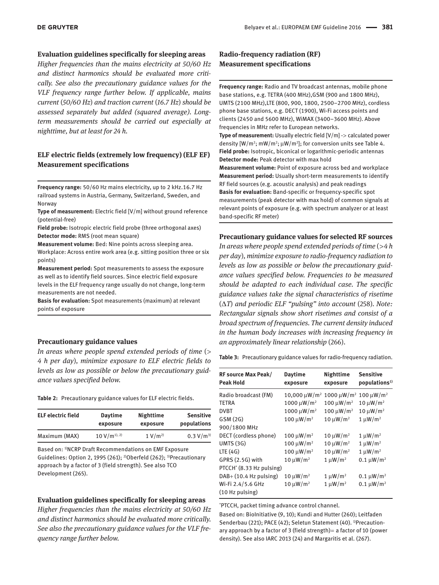#### **Evaluation guidelines specifically for sleeping areas**

*Higher frequencies than the mains electricity at 50/60 Hz and distinct harmonics should be evaluated more critically. See also the precautionary guidance values for the VLF frequency range further below. If applicable, mains current* (*50/60 Hz*) *and traction current* (*16.7 Hz*) *should be assessed separately but added (squared average). Longterm measurements should be carried out especially at nighttime, but at least for 24 h.*

#### **ELF electric fields (extremely low frequency) (ELF EF) Measurement specifications**

**Frequency range:** 50/60 Hz mains electricity, up to 2 kHz.16.7 Hz railroad systems in Austria, Germany, Switzerland, Sweden, and Norway

**Type of measurement:** Electric field [V/m] without ground reference (potential-free)

**Field probe:** Isotropic electric field probe (three orthogonal axes) **Detector mode:** RMS (root mean square)

**Measurement volume:** Bed: Nine points across sleeping area. Workplace: Across entire work area (e.g. sitting position three or six points)

**Measurement period:** Spot measurements to assess the exposure as well as to identify field sources. Since electric field exposure levels in the ELF frequency range usually do not change, long-term measurements are not needed.

**Basis for evaluation:** Spot measurements (maximum) at relevant points of exposure

#### **Precautionary guidance values**

*In areas where people spend extended periods of time* (>*4 h per day*)*, minimize exposure to ELF electric fields to levels as low as possible or below the precautionary guidance values specified below.*

**Table 2:** Precautionary guidance values for ELF electric fields.

| <b>ELF</b> electric field | <b>Daytime</b> | <b>Nighttime</b>    | <b>Sensitive</b> |
|---------------------------|----------------|---------------------|------------------|
|                           | exposure       | exposure            | populations      |
| Maximum (MAX)             | $10 V/m^{1,2}$ | $1 \text{ V/m}^{2}$ | $0.3 V/m^{3}$    |

Based on: 1)NCRP Draft Recommendations on EMF Exposure Guidelines: Option 2, 1995 (261); 2)Oberfeld (262); 3)Precautionary approach by a factor of 3 (field strength). See also TCO Development (265).

#### **Evaluation guidelines specifically for sleeping areas**

*Higher frequencies than the mains electricity at 50/60 Hz and distinct harmonics should be evaluated more critically. See also the precautionary guidance values for the VLF frequency range further below.*

#### **Radio-frequency radiation (RF) Measurement specifications**

**Frequency range:** Radio and TV broadcast antennas, mobile phone base stations, e.g. TETRA (400 MHz),GSM (900 and 1800 MHz), UMTS (2100 MHz),LTE (800, 900, 1800, 2500–2700 MHz), cordless phone base stations, e.g. DECT (1900), Wi-Fi access points and clients (2450 and 5600 MHz), WiMAX (3400–3600 MHz). Above frequencies in MHz refer to European networks. **Type of measurement:** Usually electric field [V/m] -> calculated power density  $[W/m^2; mW/m^2; \mu W/m^2]$ ; for conversion units see Table 4. **Field probe:** Isotropic, biconical or logarithmic-periodic antennas **Detector mode:** Peak detector with max hold **Measurement volume:** Point of exposure across bed and workplace **Measurement period:** Usually short-term measurements to identify RF field sources (e.g. acoustic analysis) and peak readings **Basis for evaluation:** Band-specific or frequency-specific spot measurements (peak detector with max hold) of common signals at relevant points of exposure (e.g. with spectrum analyzer or at least band-specific RF meter)

**Precautionary guidance values for selected RF sources**

In areas where people spend extended periods of time (>4 h *per day*)*, minimize exposure to radio-frequency radiation to levels as low as possible or below the precautionary guidance values specified below. Frequencies to be measured should be adapted to each individual case. The specific guidance values take the signal characteristics of risetime*  (Δ*T*) *and periodic ELF "pulsing" into account* (258)*. Note: Rectangular signals show short risetimes and consist of a broad spectrum of frequencies. The current density induced in the human body increases with increasing frequency in an approximately linear relationship* (266).

**Table 3:** Precautionary guidance values for radio-frequency radiation.

| <b>RF source Max Peak/</b><br><b>Peak Hold</b> | <b>Daytime</b><br>exposure      | <b>Nighttime</b><br>exposure | <b>Sensitive</b><br>populations <sup>1)</sup> |
|------------------------------------------------|---------------------------------|------------------------------|-----------------------------------------------|
| Radio broadcast (FM)                           | $10,000 \,\mathrm{\upmu W/m^2}$ | 1000 $\mu$ W/m <sup>2</sup>  | 100 $\mu$ W/m <sup>2</sup>                    |
| <b>TETRA</b>                                   | 1000 $\mu$ W/m <sup>2</sup>     | 100 $\mu$ W/m <sup>2</sup>   | $10 \mu W/m^2$                                |
| <b>DVBT</b>                                    | 1000 $\mu$ W/m <sup>2</sup>     | $100 \mu W/m^2$              | $10 \mu W/m^2$                                |
| GSM(2G)                                        | $100 \,\mathrm{\upmu W/m^2}$    | $10 \mu W/m^2$               | $1 \mu W/m^2$                                 |
| 900/1800 MHz                                   |                                 |                              |                                               |
| DECT (cordless phone)                          | 100 $\mu$ W/m <sup>2</sup>      | $10 \mu W/m^2$               | $1 \mu W/m^2$                                 |
| <b>UMTS (3G)</b>                               | 100 $\mu$ W/m <sup>2</sup>      | $10 \mu W/m^2$               | $1 \mu W/m^2$                                 |
| LTE(4G)                                        | $100 \,\mathrm{\upmu W/m^2}$    | $10 \mu W/m^2$               | $1 \mu W/m^2$                                 |
| GPRS (2.5G) with                               | $10 \mu W/m^2$                  | $1 \mu W/m^2$                | $0.1 \mu W/m^2$                               |
| PTCCH <sup>*</sup> (8.33 Hz pulsing)           |                                 |                              |                                               |
| $DAB+ (10.4 Hz pulsing)$                       | $10 \mu W/m^2$                  | $1 \mu W/m^2$                | $0.1 \mu W/m^2$                               |
| Wi-Fi 2.4/5.6 GHz<br>$(10 Hz$ pulsing)         | $10 \mu W/m^2$                  | $1 \mu W/m^2$                | $0.1 \mu W/m^2$                               |

\* PTCCH, packet timing advance control channel.

Based on: BioInitiative (9, 10); Kundi and Hutter (260); Leitfaden Senderbau (221); PACE (42); Seletun Statement (40). <sup>1)</sup>Precautionary approach by a factor of 3 (field strength) =  a factor of 10 (power density). See also IARC 2013 (24) and Margaritis et al. (267).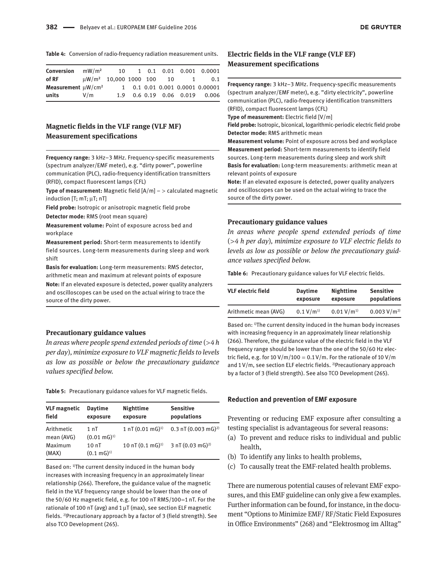**Table 4:** Conversion of radio-frequency radiation measurement units.

| <b>Conversion</b> $mW/m^2$          |                                             |  |  | 10    1    0.1    0.01    0.001    0.0001 |
|-------------------------------------|---------------------------------------------|--|--|-------------------------------------------|
| of RF                               | $\mu$ W/m <sup>2</sup> 10,000 1000 100 10 1 |  |  | 0.1                                       |
| Measurement $\mu$ W/cm <sup>2</sup> |                                             |  |  | 1  0.1  0.01  0.001  0.0001  0.00001      |
| units                               | V/m                                         |  |  | 1.9 0.6 0.19 0.06 0.019 0.006             |

#### **Magnetic fields in the VLF range (VLF MF) Measurement specifications**

**Frequency range:** 3 kHz–3 MHz. Frequency-specific measurements (spectrum analyzer/EMF meter), e.g. "dirty power", powerline communication (PLC), radio-frequency identification transmitters (RFID), compact fluorescent lamps (CFL)

**Type of measurement:** Magnetic field  $[A/m]$  –  $>$  calculated magnetic induction [T; mT; μT; nT]

**Field probe:** Isotropic or anisotropic magnetic field probe **Detector mode:** RMS (root mean square)

**Measurement volume:** Point of exposure across bed and workplace

**Measurement period:** Short-term measurements to identify field sources. Long-term measurements during sleep and work shift

**Basis for evaluation:** Long-term measurements: RMS detector, arithmetic mean and maximum at relevant points of exposure **Note:** If an elevated exposure is detected, power quality analyzers and oscilloscopes can be used on the actual wiring to trace the source of the dirty power.

#### **Precautionary guidance values**

*In areas where people spend extended periods of time (>4 h per day*)*, minimize exposure to VLF magnetic fields to levels as low as possible or below the precautionary guidance values specified below.*

**Table 5:** Precautionary guidance values for VLF magnetic fields.

| <b>VLF</b> magnetic<br>field | <b>Davtime</b><br>exposure     | <b>Nighttime</b><br>exposure | <b>Sensitive</b><br>populations |
|------------------------------|--------------------------------|------------------------------|---------------------------------|
| Arithmetic<br>mean (AVG)     | 1nT<br>$(0.01 \text{ mG})^{1}$ | 1 nT $(0.01 \text{ mG})^1$   | 0.3 nT $(0.003 \text{ mG})^{2}$ |
| Maximum<br>(MAX)             | 10nT<br>$(0.1 \text{ mG})^{1}$ | 10 nT $(0.1 \text{ mG})^{1}$ | 3 nT $(0.03 \text{ mG})^{2}$    |

Based on: 1)The current density induced in the human body increases with increasing frequency in an approximately linear relationship (266). Therefore, the guidance value of the magnetic field in the VLF frequency range should be lower than the one of the 50/60 Hz magnetic field, e.g. for 100 nT RMS/100=1 nT. For the rationale of 100 nT (avg) and  $1 \mu T$  (max), see section ELF magnetic fields. 2)Precautionary approach by a factor of 3 (field strength). See also TCO Development (265).

#### **Electric fields in the VLF range (VLF EF) Measurement specifications**

**Frequency range:** 3 kHz–3 MHz. Frequency-specific measurements (spectrum analyzer/EMF meter), e.g. "dirty electricity", powerline communication (PLC), radio-frequency identification transmitters (RFID), compact fluorescent lamps (CFL)

**Type of measurement:** Electric field [V/m]

**Field probe:** Isotropic, biconical, logarithmic-periodic electric field probe **Detector mode:** RMS arithmetic mean

**Measurement volume:** Point of exposure across bed and workplace **Measurement period:** Short-term measurements to identify field sources. Long-term measurements during sleep and work shift **Basis for evaluation:** Long-term measurements: arithmetic mean at relevant points of exposure

**Note:** If an elevated exposure is detected, power quality analyzers and oscilloscopes can be used on the actual wiring to trace the source of the dirty power.

#### **Precautionary guidance values**

*In areas where people spend extended periods of time*  (>*4 h per day*)*, minimize exposure to VLF electric fields to levels as low as possible or below the precautionary guidance values specified below.*

**Table 6:** Precautionary guidance values for VLF electric fields.

| <b>VLF</b> electric field | <b>Daytime</b>       | <b>Nighttime</b>      | <b>Sensitive</b>       |
|---------------------------|----------------------|-----------------------|------------------------|
|                           | exposure             | exposure              | populations            |
| Arithmetic mean (AVG)     | 0.1 V/m <sup>1</sup> | 0.01 V/m <sup>1</sup> | 0.003 V/m <sup>2</sup> |

Based on: 1)The current density induced in the human body increases with increasing frequency in an approximately linear relationship (266). Therefore, the guidance value of the electric field in the VLF frequency range should be lower than the one of the 50/60 Hz electric field, e.g. for 10 V/m/100 = 0.1 V/m. For the rationale of 10 V/m and 1 V/m, see section ELF electric fields. <sup>2)</sup>Precautionary approach by a factor of 3 (field strength). See also TCO Development (265).

#### **Reduction and prevention of EMF exposure**

Preventing or reducing EMF exposure after consulting a testing specialist is advantageous for several reasons:

- (a) To prevent and reduce risks to individual and public health,
- (b) To identify any links to health problems,
- (c) To causally treat the EMF-related health problems.

There are numerous potential causes of relevant EMF exposures, and this EMF guideline can only give a few examples. Further information can be found, for instance, in the document "Options to Minimize EMF/ RF/Static Field Exposures in Office Environments" (268) and "Elektrosmog im Alltag"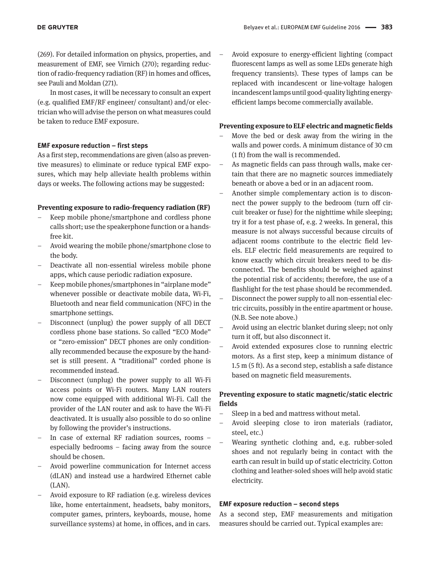(269). For detailed information on physics, properties, and measurement of EMF, see Virnich (270); regarding reduction of radio-frequency radiation (RF) in homes and offices, see Pauli and Moldan (271).

In most cases, it will be necessary to consult an expert (e.g. qualified EMF/RF engineer/ consultant) and/or electrician who will advise the person on what measures could be taken to reduce EMF exposure.

#### **EMF exposure reduction – first steps**

As a first step, recommendations are given (also as preventive measures) to eliminate or reduce typical EMF exposures, which may help alleviate health problems within days or weeks. The following actions may be suggested:

#### **Preventing exposure to radio-frequency radiation (RF)**

- Keep mobile phone/smartphone and cordless phone calls short; use the speakerphone function or a handsfree kit.
- Avoid wearing the mobile phone/smartphone close to the body.
- Deactivate all non-essential wireless mobile phone apps, which cause periodic radiation exposure.
- Keep mobile phones/smartphones in "airplane mode" whenever possible or deactivate mobile data, Wi-Fi, Bluetooth and near field communication (NFC) in the smartphone settings.
- Disconnect (unplug) the power supply of all DECT cordless phone base stations. So called "ECO Mode" or "zero-emission" DECT phones are only conditionally recommended because the exposure by the handset is still present. A "traditional" corded phone is recommended instead.
- Disconnect (unplug) the power supply to all Wi-Fi access points or Wi-Fi routers. Many LAN routers now come equipped with additional Wi-Fi. Call the provider of the LAN router and ask to have the Wi-Fi deactivated. It is usually also possible to do so online by following the provider's instructions.
- In case of external RF radiation sources, rooms especially bedrooms – facing away from the source should be chosen.
- Avoid powerline communication for Internet access (dLAN) and instead use a hardwired Ethernet cable (LAN).
- Avoid exposure to RF radiation (e.g. wireless devices like, home entertainment, headsets, baby monitors, computer games, printers, keyboards, mouse, home surveillance systems) at home, in offices, and in cars.

– Avoid exposure to energy-efficient lighting (compact fluorescent lamps as well as some LEDs generate high frequency transients). These types of lamps can be replaced with incandescent or line-voltage halogen incandescent lamps until good-quality lighting energyefficient lamps become commercially available.

#### **Preventing exposure to ELF electric and magnetic fields**

- Move the bed or desk away from the wiring in the walls and power cords. A minimum distance of 30 cm (1 ft) from the wall is recommended.
- As magnetic fields can pass through walls, make certain that there are no magnetic sources immediately beneath or above a bed or in an adjacent room.
- Another simple complementary action is to disconnect the power supply to the bedroom (turn off circuit breaker or fuse) for the nighttime while sleeping; try it for a test phase of, e.g. 2 weeks. In general, this measure is not always successful because circuits of adjacent rooms contribute to the electric field levels. ELF electric field measurements are required to know exactly which circuit breakers need to be disconnected. The benefits should be weighed against the potential risk of accidents; therefore, the use of a flashlight for the test phase should be recommended.
- Disconnect the power supply to all non-essential electric circuits, possibly in the entire apartment or house. (N.B. See note above.)
- Avoid using an electric blanket during sleep; not only turn it off, but also disconnect it.
- Avoid extended exposures close to running electric motors. As a first step, keep a minimum distance of 1.5 m (5 ft). As a second step, establish a safe distance based on magnetic field measurements.

#### **Preventing exposure to static magnetic/static electric fields**

- Sleep in a bed and mattress without metal.
- Avoid sleeping close to iron materials (radiator, steel, etc.)
- Wearing synthetic clothing and, e.g. rubber-soled shoes and not regularly being in contact with the earth can result in build up of static electricity. Cotton clothing and leather-soled shoes will help avoid static electricity.

#### **EMF exposure reduction – second steps**

As a second step, EMF measurements and mitigation measures should be carried out. Typical examples are: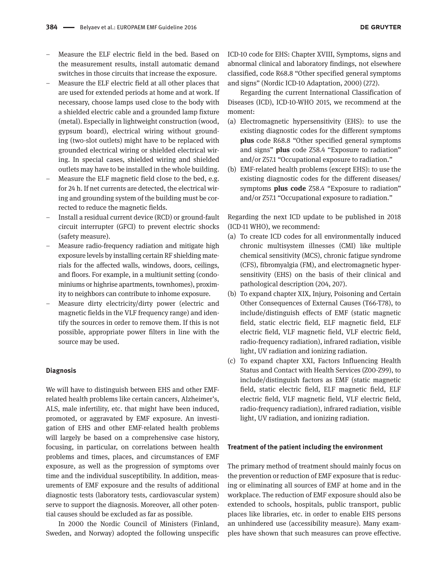- Measure the ELF electric field in the bed. Based on the measurement results, install automatic demand switches in those circuits that increase the exposure.
- Measure the ELF electric field at all other places that are used for extended periods at home and at work. If necessary, choose lamps used close to the body with a shielded electric cable and a grounded lamp fixture (metal). Especially in lightweight construction (wood, gypsum board), electrical wiring without grounding (two-slot outlets) might have to be replaced with grounded electrical wiring or shielded electrical wiring. In special cases, shielded wiring and shielded outlets may have to be installed in the whole building.
- Measure the ELF magnetic field close to the bed, e.g. for 24 h. If net currents are detected, the electrical wiring and grounding system of the building must be corrected to reduce the magnetic fields.
- Install a residual current device (RCD) or ground-fault circuit interrupter (GFCI) to prevent electric shocks (safety measure).
- Measure radio-frequency radiation and mitigate high exposure levels by installing certain RF shielding materials for the affected walls, windows, doors, ceilings, and floors. For example, in a multiunit setting (condominiums or highrise apartments, townhomes), proximity to neighbors can contribute to inhome exposure.
- Measure dirty electricity/dirty power (electric and magnetic fields in the VLF frequency range) and identify the sources in order to remove them. If this is not possible, appropriate power filters in line with the source may be used.

#### **Diagnosis**

We will have to distinguish between EHS and other EMFrelated health problems like certain cancers, Alzheimer's, ALS, male infertility, etc. that might have been induced, promoted, or aggravated by EMF exposure. An investigation of EHS and other EMF-related health problems will largely be based on a comprehensive case history, focusing, in particular, on correlations between health problems and times, places, and circumstances of EMF exposure, as well as the progression of symptoms over time and the individual susceptibility. In addition, measurements of EMF exposure and the results of additional diagnostic tests (laboratory tests, cardiovascular system) serve to support the diagnosis. Moreover, all other potential causes should be excluded as far as possible.

In 2000 the Nordic Council of Ministers (Finland, Sweden, and Norway) adopted the following unspecific

ICD-10 code for EHS: Chapter XVIII, Symptoms, signs and abnormal clinical and laboratory findings, not elsewhere classified, code R68.8 "Other specified general symptoms and signs" (Nordic ICD-10 Adaptation, 2000) (272).

Regarding the current International Classification of Diseases (ICD), ICD-10-WHO 2015, we recommend at the moment:

- (a) Electromagnetic hypersensitivity (EHS): to use the existing diagnostic codes for the different symptoms **plus** code R68.8 "Other specified general symptoms and signs" **plus** code Z58.4 "Exposure to radiation" and/or Z57.1 "Occupational exposure to radiation."
- (b) EMF-related health problems (except EHS): to use the existing diagnostic codes for the different diseases/ symptoms **plus code** Z58.4 "Exposure to radiation" and/or Z57.1 "Occupational exposure to radiation."

Regarding the next ICD update to be published in 2018 (ICD-11 WHO), we recommend:

- (a) To create ICD codes for all environmentally induced chronic multisystem illnesses (CMI) like multiple chemical sensitivity (MCS), chronic fatigue syndrome (CFS), fibromyalgia (FM), and electromagnetic hypersensitivity (EHS) on the basis of their clinical and pathological description (204, 207).
- (b) To expand chapter XIX, Injury, Poisoning and Certain Other Consequences of External Causes (T66-T78), to include/distinguish effects of EMF (static magnetic field, static electric field, ELF magnetic field, ELF electric field, VLF magnetic field, VLF electric field, radio-frequency radiation), infrared radiation, visible light, UV radiation and ionizing radiation.
- (c) To expand chapter XXI, Factors Influencing Health Status and Contact with Health Services (Z00-Z99), to include/distinguish factors as EMF (static magnetic field, static electric field, ELF magnetic field, ELF electric field, VLF magnetic field, VLF electric field, radio-frequency radiation), infrared radiation, visible light, UV radiation, and ionizing radiation.

#### **Treatment of the patient including the environment**

The primary method of treatment should mainly focus on the prevention or reduction of EMF exposure that is reducing or eliminating all sources of EMF at home and in the workplace. The reduction of EMF exposure should also be extended to schools, hospitals, public transport, public places like libraries, etc. in order to enable EHS persons an unhindered use (accessibility measure). Many examples have shown that such measures can prove effective.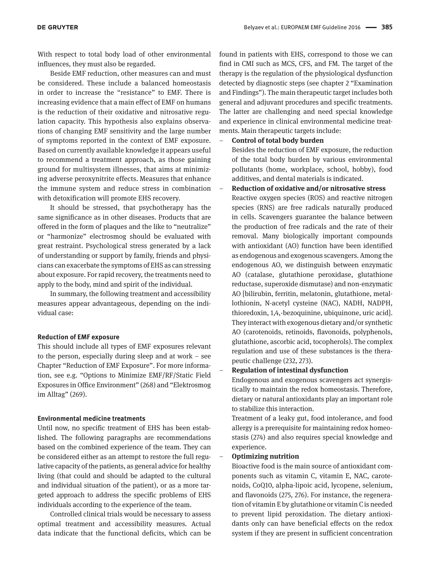With respect to total body load of other environmental influences, they must also be regarded.

Beside EMF reduction, other measures can and must be considered. These include a balanced homeostasis in order to increase the "resistance" to EMF. There is increasing evidence that a main effect of EMF on humans is the reduction of their oxidative and nitrosative regulation capacity. This hypothesis also explains observations of changing EMF sensitivity and the large number of symptoms reported in the context of EMF exposure. Based on currently available knowledge it appears useful to recommend a treatment approach, as those gaining ground for multisystem illnesses, that aims at minimizing adverse peroxynitrite effects. Measures that enhance the immune system and reduce stress in combination with detoxification will promote EHS recovery.

It should be stressed, that psychotherapy has the same significance as in other diseases. Products that are offered in the form of plaques and the like to "neutralize" or "harmonize" electrosmog should be evaluated with great restraint. Psychological stress generated by a lack of understanding or support by family, friends and physicians can exacerbate the symptoms of EHS as can stressing about exposure. For rapid recovery, the treatments need to apply to the body, mind and spirit of the individual.

In summary, the following treatment and accessibility measures appear advantageous, depending on the individual case:

#### **Reduction of EMF exposure**

This should include all types of EMF exposures relevant to the person, especially during sleep and at work – see Chapter "Reduction of EMF Exposure". For more information, see e.g. "Options to Minimize EMF/RF/Static Field Exposures in Office Environment" (268) and "Elektrosmog im Alltag" (269).

#### **Environmental medicine treatments**

Until now, no specific treatment of EHS has been established. The following paragraphs are recommendations based on the combined experience of the team. They can be considered either as an attempt to restore the full regulative capacity of the patients, as general advice for healthy living (that could and should be adapted to the cultural and individual situation of the patient), or as a more targeted approach to address the specific problems of EHS individuals according to the experience of the team.

Controlled clinical trials would be necessary to assess optimal treatment and accessibility measures. Actual data indicate that the functional deficits, which can be found in patients with EHS, correspond to those we can find in CMI such as MCS, CFS, and FM. The target of the therapy is the regulation of the physiological dysfunction detected by diagnostic steps (see chapter 2 "Examination and Findings"). The main therapeutic target includes both general and adjuvant procedures and specific treatments. The latter are challenging and need special knowledge and experience in clinical environmental medicine treatments. Main therapeutic targets include:

#### – **Control of total body burden**

Besides the reduction of EMF exposure, the reduction of the total body burden by various environmental pollutants (home, workplace, school, hobby), food additives, and dental materials is indicated.

– **Reduction of oxidative and/or nitrosative stress**

Reactive oxygen species (ROS) and reactive nitrogen species (RNS) are free radicals naturally produced in cells. Scavengers guarantee the balance between the production of free radicals and the rate of their removal. Many biologically important compounds with antioxidant (AO) function have been identified as endogenous and exogenous scavengers. Among the endogenous AO, we distinguish between enzymatic AO (catalase, glutathione peroxidase, glutathione reductase, superoxide dismutase) and non-enzymatic AO [bilirubin, ferritin, melatonin, glutathione, metallothionin, N-acetyl cysteine (NAC), NADH, NADPH, thioredoxin, 1,4,-bezoquinine, ubiquinone, uric acid]. They interact with exogenous dietary and/or synthetic AO (carotenoids, retinoids, flavonoids, polyphenols, glutathione, ascorbic acid, tocopherols). The complex regulation and use of these substances is the therapeutic challenge (232, 273).

#### – **Regulation of intestinal dysfunction**

Endogenous and exogenous scavengers act synergistically to maintain the redox homeostasis. Therefore, dietary or natural antioxidants play an important role to stabilize this interaction.

Treatment of a leaky gut, food intolerance, and food allergy is a prerequisite for maintaining redox homeostasis (274) and also requires special knowledge and experience.

#### – **Optimizing nutrition**

Bioactive food is the main source of antioxidant components such as vitamin C, vitamin E, NAC, carotenoids, CoQ10, alpha-lipoic acid, lycopene, selenium, and flavonoids (275, 276). For instance, the regeneration of vitamin E by glutathione or vitamin C is needed to prevent lipid peroxidation. The dietary antioxidants only can have beneficial effects on the redox system if they are present in sufficient concentration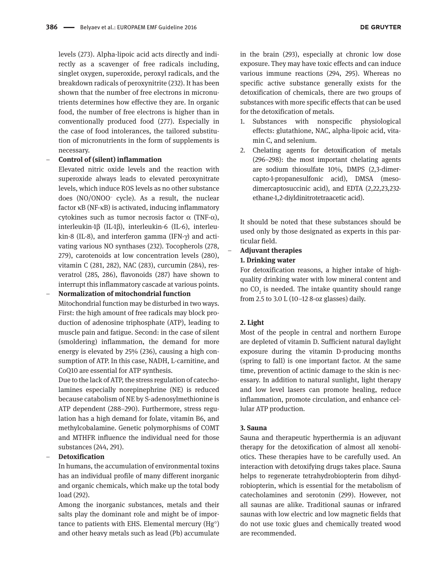levels (273). Alpha-lipoic acid acts directly and indirectly as a scavenger of free radicals including, singlet oxygen, superoxide, peroxyl radicals, and the breakdown radicals of peroxynitrite (232). It has been shown that the number of free electrons in micronutrients determines how effective they are. In organic food, the number of free electrons is higher than in conventionally produced food (277). Especially in the case of food intolerances, the tailored substitution of micronutrients in the form of supplements is necessary.

– **Control of (silent) inflammation**

Elevated nitric oxide levels and the reaction with superoxide always leads to elevated peroxynitrate levels, which induce ROS levels as no other substance does (NO/ONOO<sup>−</sup> cycle). As a result, the nuclear factor κB (NF-κB) is activated, inducing inflammatory cytokines such as tumor necrosis factor α (TNF-α), interleukin-1β (IL-1β), interleukin-6 (IL-6), interleukin-8 (IL-8), and interferon gamma (IFN-γ) and activating various NO synthases (232). Tocopherols (278, 279), carotenoids at low concentration levels (280), vitamin C (281, 282), NAC (283), curcumin (284), resveratrol (285, 286), flavonoids (287) have shown to interrupt this inflammatory cascade at various points.

– **Normalization of mitochondrial function** Mitochondrial function may be disturbed in two ways. First: the high amount of free radicals may block production of adenosine triphosphate (ATP), leading to muscle pain and fatigue. Second: in the case of silent (smoldering) inflammation, the demand for more energy is elevated by 25% (236), causing a high consumption of ATP. In this case, NADH, L-carnitine, and CoQ10 are essential for ATP synthesis.

Due to the lack of ATP, the stress regulation of catecholamines especially norepinephrine (NE) is reduced because catabolism of NE by S-adenosylmethionine is ATP dependent (288–290). Furthermore, stress regulation has a high demand for folate, vitamin B6, and methylcobalamine. Genetic polymorphisms of COMT and MTHFR influence the individual need for those substances (244, 291).

#### – **Detoxification**

In humans, the accumulation of environmental toxins has an individual profile of many different inorganic and organic chemicals, which make up the total body load (292).

Among the inorganic substances, metals and their salts play the dominant role and might be of importance to patients with EHS. Elemental mercury (Hg°) and other heavy metals such as lead (Pb) accumulate in the brain (293), especially at chronic low dose exposure. They may have toxic effects and can induce various immune reactions (294, 295). Whereas no specific active substance generally exists for the detoxification of chemicals, there are two groups of substances with more specific effects that can be used for the detoxification of metals.

- 1. Substances with nonspecific physiological effects: glutathione, NAC, alpha-lipoic acid, vitamin C, and selenium.
- 2. Chelating agents for detoxification of metals (296–298): the most important chelating agents are sodium thiosulfate 10%, DMPS (2,3-dimercapto-1-propanesulfonic acid), DMSA (mesodimercaptosuccinic acid), and EDTA (2,22,23,232 ethane-1,2-diyldinitrotetraacetic acid).

It should be noted that these substances should be used only by those designated as experts in this particular field.

#### – **Adjuvant therapies 1. Drinking water**

For detoxification reasons, a higher intake of highquality drinking water with low mineral content and no  $CO_2$  is needed. The intake quantity should range from 2.5 to 3.0 L (10–12 8-oz glasses) daily.

#### **2. Light**

Most of the people in central and northern Europe are depleted of vitamin D. Sufficient natural daylight exposure during the vitamin D-producing months (spring to fall) is one important factor. At the same time, prevention of actinic damage to the skin is necessary. In addition to natural sunlight, light therapy and low level lasers can promote healing, reduce inflammation, promote circulation, and enhance cellular ATP production.

#### **3. Sauna**

Sauna and therapeutic hyperthermia is an adjuvant therapy for the detoxification of almost all xenobiotics. These therapies have to be carefully used. An interaction with detoxifying drugs takes place. Sauna helps to regenerate tetrahydrobiopterin from dihydrobiopterin, which is essential for the metabolism of catecholamines and serotonin (299). However, not all saunas are alike. Traditional saunas or infrared saunas with low electric and low magnetic fields that do not use toxic glues and chemically treated wood are recommended.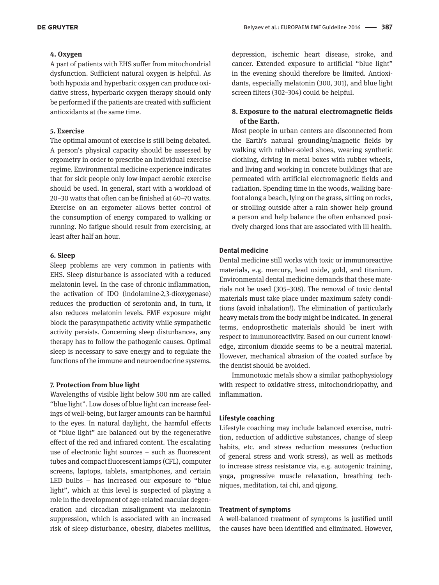#### **4. Oxygen**

A part of patients with EHS suffer from mitochondrial dysfunction. Sufficient natural oxygen is helpful. As both hypoxia and hyperbaric oxygen can produce oxidative stress, hyperbaric oxygen therapy should only be performed if the patients are treated with sufficient antioxidants at the same time.

#### **5. Exercise**

The optimal amount of exercise is still being debated. A person's physical capacity should be assessed by ergometry in order to prescribe an individual exercise regime. Environmental medicine experience indicates that for sick people only low-impact aerobic exercise should be used. In general, start with a workload of 20–30 watts that often can be finished at 60–70 watts. Exercise on an ergometer allows better control of the consumption of energy compared to walking or running. No fatigue should result from exercising, at least after half an hour.

#### **6. Sleep**

Sleep problems are very common in patients with EHS. Sleep disturbance is associated with a reduced melatonin level. In the case of chronic inflammation, the activation of IDO (indolamine-2,3-dioxygenase) reduces the production of serotonin and, in turn, it also reduces melatonin levels. EMF exposure might block the parasympathetic activity while sympathetic activity persists. Concerning sleep disturbances, any therapy has to follow the pathogenic causes. Optimal sleep is necessary to save energy and to regulate the functions of the immune and neuroendocrine systems.

#### **7. Protection from blue light**

Wavelengths of visible light below 500 nm are called "blue light". Low doses of blue light can increase feelings of well-being, but larger amounts can be harmful to the eyes. In natural daylight, the harmful effects of "blue light" are balanced out by the regenerative effect of the red and infrared content. The escalating use of electronic light sources – such as fluorescent tubes and compact fluorescent lamps (CFL), computer screens, laptops, tablets, smartphones, and certain LED bulbs – has increased our exposure to "blue light", which at this level is suspected of playing a role in the development of age-related macular degeneration and circadian misalignment via melatonin suppression, which is associated with an increased risk of sleep disturbance, obesity, diabetes mellitus,

depression, ischemic heart disease, stroke, and cancer. Extended exposure to artificial "blue light" in the evening should therefore be limited. Antioxidants, especially melatonin (300, 301), and blue light screen filters (302–304) could be helpful.

#### **8. Exposure to the natural electromagnetic fields of the Earth.**

Most people in urban centers are disconnected from the Earth's natural grounding/magnetic fields by walking with rubber-soled shoes, wearing synthetic clothing, driving in metal boxes with rubber wheels, and living and working in concrete buildings that are permeated with artificial electromagnetic fields and radiation. Spending time in the woods, walking barefoot along a beach, lying on the grass, sitting on rocks, or strolling outside after a rain shower help ground a person and help balance the often enhanced positively charged ions that are associated with ill health.

#### **Dental medicine**

Dental medicine still works with toxic or immunoreactive materials, e.g. mercury, lead oxide, gold, and titanium. Environmental dental medicine demands that these materials not be used (305–308). The removal of toxic dental materials must take place under maximum safety conditions (avoid inhalation!). The elimination of particularly heavy metals from the body might be indicated. In general terms, endoprosthetic materials should be inert with respect to immunoreactivity. Based on our current knowledge, zirconium dioxide seems to be a neutral material. However, mechanical abrasion of the coated surface by the dentist should be avoided.

Immunotoxic metals show a similar pathophysiology with respect to oxidative stress, mitochondriopathy, and inflammation.

#### **Lifestyle coaching**

Lifestyle coaching may include balanced exercise, nutrition, reduction of addictive substances, change of sleep habits, etc. and stress reduction measures (reduction of general stress and work stress), as well as methods to increase stress resistance via, e.g. autogenic training, yoga, progressive muscle relaxation, breathing techniques, meditation, tai chi, and qigong.

#### **Treatment of symptoms**

A well-balanced treatment of symptoms is justified until the causes have been identified and eliminated. However,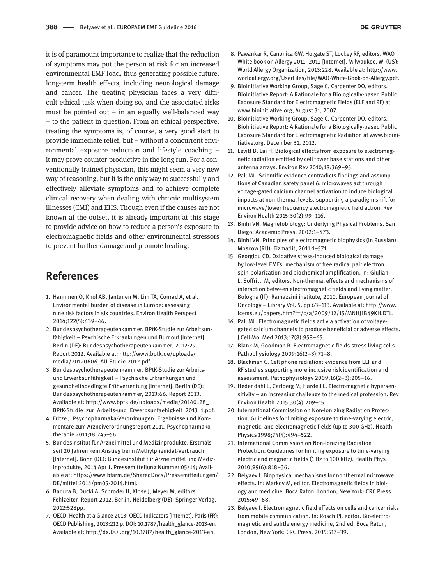it is of paramount importance to realize that the reduction of symptoms may put the person at risk for an increased environmental EMF load, thus generating possible future, long-term health effects, including neurological damage and cancer. The treating physician faces a very difficult ethical task when doing so, and the associated risks must be pointed out – in an equally well-balanced way – to the patient in question. From an ethical perspective, treating the symptoms is, of course, a very good start to provide immediate relief, but – without a concurrent environmental exposure reduction and lifestyle coaching – it may prove counter-productive in the long run. For a conventionally trained physician, this might seem a very new way of reasoning, but it is the only way to successfully and effectively alleviate symptoms and to achieve complete clinical recovery when dealing with chronic multisystem illnesses (CMI) and EHS. Though even if the causes are not known at the outset, it is already important at this stage to provide advice on how to reduce a person's exposure to electromagnetic fields and other environmental stressors to prevent further damage and promote healing.

## **References**

- 1. Hanninen O, Knol AB, Jantunen M, Lim TA, Conrad A, et al. Environmental burden of disease in Europe: assessing nine risk factors in six countries. Environ Health Perspect 2014;122(5):439–46.
- 2. Bundespsychotherapeutenkammer. BPtK-Studie zur Arbeitsunfähigkeit – Psychische Erkrankungen und Burnout [Internet]. Berlin (DE): Bundespsychotherapeutenkammer, 2012:29. Report 2012. Available at: http://www.bptk.de/uploads/ media/20120606\_AU-Studie-2012.pdf.
- 3. Bundespsychotherapeutenkammer. BPtK-Studie zur Arbeitsund Erwerbsunfähigkeit – Psychische Erkrankungen und gesundheitsbedingte Frühverrentung [Internet]. Berlin (DE): Bundespsychotherapeutenkammer, 2013:66. Report 2013. Available at: http://www.bptk.de/uploads/media/20140128\_ BPtK-Studie\_zur\_Arbeits-und\_Erwerbsunfaehigkeit\_2013\_1.pdf.
- 4. Fritze J. Psychopharmaka-Verordnungen: Ergebnisse und Kommentare zum Arzneiverordnungsreport 2011. Psychopharmakotherapie 2011;18:245–56.
- 5. Bundesinstitut für Arzneimittel und Medizinprodukte. Erstmals seit 20 Jahren kein Anstieg beim Methylphenidat-Verbrauch [Internet]. Bonn (DE): Bundesinstitut für Arzneimittel und Medizinprodukte, 2014 Apr 1. Pressemitteilung Nummer 05/14; Available at: https://www.bfarm.de/SharedDocs/Pressemitteilungen/ DE/mitteil2014/pm05-2014.html.
- 6. Badura B, Ducki A, Schroder H, Klose J, Meyer M, editors. Fehlzeiten-Report 2012. Berlin, Heidelberg (DE): Springer Verlag, 2012:528pp.
- 7. OECD. Health at a Glance 2013: OECD Indicators [Internet]. Paris (FR): OECD Publishing, 2013:212 p. DOI: 10.1787/health\_glance-2013-en. Available at: http://dx.DOI.org/10.1787/health\_glance-2013-en.
- 9. BioInitiative Working Group, Sage C, Carpenter DO, editors. BioInitiative Report: A Rationale for a Biologically-based Public Exposure Standard for Electromagnetic Fields (ELF and RF) at www.bioinitiative.org, August 31, 2007.
- 10. BioInitiative Working Group, Sage C, Carpenter DO, editors. BioInitiative Report: A Rationale for a Biologically-based Public Exposure Standard for Electromagnetic Radiation at www.bioinitiative.org, December 31, 2012.
- 11. Levitt B, Lai H. Biological effects from exposure to electromagnetic radiation emitted by cell tower base stations and other antenna arrays. Environ Rev 2010;18:369–95.
- 12. Pall ML. Scientific evidence contradicts findings and assumptions of Canadian safety panel 6: microwaves act through voltage-gated calcium channel activation to induce biological impacts at non-thermal levels, supporting a paradigm shift for microwave/lower frequency electromagnetic field action. Rev Environ Health 2015;30(2):99–116.
- 13. Binhi VN. Magnetobiology: Underlying Physical Problems. San Diego: Academic Press, 2002:1–473.
- 14. Binhi VN. Principles of electromagnetic biophysics (in Russian). Moscow (RU): Fizmatlit, 2011:1–571.
- 15. Georgiou CD. Oxidative stress-induced biological damage by low-level EMFs: mechanism of free radical pair electron spin-polarization and biochemical amplification. In: Giuliani L, Soffritti M, editors. Non-thermal effects and mechanisms of interaction between electromagnetic fields and living matter. Bologna (IT): Ramazzini institute, 2010. European Journal of Oncology – Library Vol. 5. pp 63–113. Available at: http://www. icems.eu/papers.htm?f=/c/a/2009/12/15/MNHJ1B49KH.DTL.
- 16. Pall ML. Electromagnetic fields act via activation of voltagegated calcium channels to produce beneficial or adverse effects. J Cell Mol Med 2013;17(8):958–65.
- 17. Blank M, Goodman R. Electromagnetic fields stress living cells. Pathophysiology 2009;16(2–3):71–8.
- 18. Blackman C. Cell phone radiation: evidence from ELF and RF studies supporting more inclusive risk identification and assessment. Pathophysiology 2009;16(2–3):205–16.
- 19. Hedendahl L, Carlberg M, Hardell L. Electromagnetic hypersensitivity – an increasing challenge to the medical profession. Rev Environ Health 2015;30(4):209–15.
- 20. International Commission on Non-Ionizing Radiation Protection. Guidelines for limiting exposure to time-varying electric, magnetic, and electromagnetic fields (up to 300 GHz). Health Physics 1998;74(4):494–522.
- 21. International Commission on Non-Ionizing Radiation Protection. Guidelines for limiting exposure to time-varying electric and magnetic fields (1 Hz to 100 kHz). Health Phys 2010;99(6):818–36.
- 22. Belyaev I. Biophysical mechanisms for nonthermal microwave effects. In: Markov M, editor. Electromagnetic fields in biology and medicine. Boca Raton, London, New York: CRC Press 2015:49–68.
- 23. Belyaev I. Electromagnetic field effects on cells and cancer risks from mobile communication. In: Rosch PJ, editor. Bioelectromagnetic and subtle energy medicine, 2nd ed. Boca Raton, London, New York: CRC Press, 2015:517–39.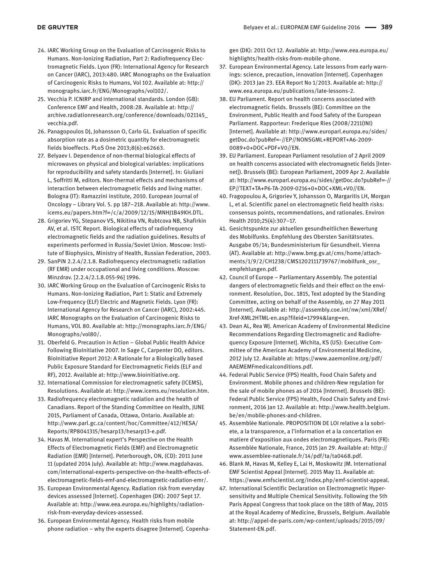- 24. IARC Working Group on the Evaluation of Carcinogenic Risks to Humans. Non-Ionizing Radiation, Part 2: Radiofrequency Electromagnetic Fields. Lyon (FR): International Agency for Research on Cancer (IARC), 2013:480. IARC Monographs on the Evaluation of Carcinogenic Risks to Humans, Vol 102. Available at: http:// monographs.iarc.fr/ENG/Monographs/vol102/.
- 25. Vecchia P. ICNIRP and international standards. London (GB): Conference EMF and Health, 2008:28. Available at: http:// archive.radiationresearch.org/conference/downloads/021145\_ vecchia.pdf.
- 26. Panagopoulos DJ, Johansson O, Carlo GL. Evaluation of specific absorption rate as a dosimetric quantity for electromagnetic fields bioeffects. PLoS One 2013;8(6):e62663.
- 27. Belyaev I. Dependence of non-thermal biological effects of microwaves on physical and biological variables: implications for reproducibility and safety standards [Internet]. In: Giuliani L, Soffritti M, editors. Non-thermal effects and mechanisms of interaction between electromagnetic fields and living matter. Bologna (IT): Ramazzini institute, 2010. European Journal of Oncology – Library Vol. 5. pp 187–218. Available at: http://www. icems.eu/papers.htm?f=/c/a/2009/12/15/MNHJ1B49KH.DTL.
- 28. Grigoriev YG, Stepanov VS, Nikitina VN, Rubtcova NB, Shafirkin AV, et al. ISTC Report. Biological effects of radiofrequency electromagnetic fields and the radiation guidelines. Results of experiments performed in Russia/Soviet Union. Moscow: Institute of Biophysics, Ministry of Health, Russian Federation, 2003.
- 29. SanPiN 2.2.4/2.1.8. Radiofrequency electromagnetic radiation (RF EMR) under occupational and living conditions. Moscow: Minzdrav. [2.2.4/2.1.8.055-96] 1996.
- 30. IARC Working Group on the Evaluation of Carcinogenic Risks to Humans. Non-Ionizing Radiation, Part 1: Static and Extremely Low-Frequency (ELF) Electric and Magnetic Fields. Lyon (FR): International Agency for Research on Cancer (IARC), 2002:445. IARC Monographs on the Evaluation of Carcinogenic Risks to Humans, VOL 80. Available at: http://monographs.iarc.fr/ENG/ Monographs/vol80/.
- 31. Oberfeld G. Precaution in Action Global Public Health Advice Following BioInitiative 2007. In Sage C, Carpenter DO, editors. BioInitiative Report 2012: A Rationale for a Biologically based Public Exposure Standard for Electromagnetic Fields (ELF and RF), 2012. Available at: http://www.bioinitiative.org.
- 32. International Commission for electromagnetic safety (ICEMS), Resolutions. Available at: http://www.icems.eu/resolution.htm.
- 33. Radiofrequency electromagnetic radiation and the health of Canadians. Report of the Standing Committee on Health, JUNE 2015, Parliament of Canada, Ottawa, Ontario. Available at: http://www.parl.gc.ca/content/hoc/Committee/412/HESA/ Reports/RP8041315/hesarp13/hesarp13-e.pdf.
- 34. Havas M. International expert's Perspective on the Health Effects of Electromagnetic Fields (EMF) and Electromagnetic Radiation (EMR) [Internet]. Peterborough, ON, (CD): 2011 June 11 (updated 2014 July). Available at: http://www.magdahavas. com/international-experts-perspective-on-the-health-effects-ofelectromagnetic-fields-emf-and-electromagnetic-radiation-emr/.
- 35. European Environmental Agency. Radiation risk from everyday devices assessed [Internet]. Copenhagen (DK): 2007 Sept 17. Available at: http://www.eea.europa.eu/highlights/radiationrisk-from-everyday-devices-assessed.
- 36. European Environmental Agency. Health risks from mobile phone radiation – why the experts disagree [Internet]. Copenha-

gen (DK): 2011 Oct 12. Available at: http://www.eea.europa.eu/ highlights/health-risks-from-mobile-phone.

- 37. European Environmental Agency. Late lessons from early warnings: science, precaution, innovation [Internet]. Copenhagen (DK): 2013 Jan 23. EEA Report No 1/2013. Available at: http:// www.eea.europa.eu/publications/late-lessons-2.
- 38. EU Parliament. Report on health concerns associated with electromagnetic fields. Brussels (BE): Committee on the Environment, Public Health and Food Safety of the European Parliament. Rapporteur: Frederique Ries (2008/2211(INI) [Internet]. Available at: http://www.europarl.europa.eu/sides/ getDoc.do?pubRef=-//EP//NONSGML+REPORT+A6-2009- 0089+0+DOC+PDF+V0//EN.
- 39. EU Parliament. European Parliament resolution of 2 April 2009 on health concerns associated with electromagnetic fields [Internet]). Brussels (BE): European Parliament, 2009 Apr 2. Available at: http://www.europarl.europa.eu/sides/getDoc.do?pubRef=-// EP//TEXT+TA+P6-TA-2009-0216+0+DOC+XML+V0//EN.
- 40. Fragopoulou A, Grigoriev Y, Johansson O, Margaritis LH, Morgan L, et al. Scientific panel on electromagnetic field health risks: consensus points, recommendations, and rationales. Environ Health 2010;25(4):307–17.
- 41. Gesichtspunkte zur aktuellen gesundheitlichen Bewertung des Mobilfunks. Empfehlung des Obersten Sanitätsrates. Ausgabe 05/14; Bundesministerium für Gesundheit. Vienna (AT). Available at: http://www.bmg.gv.at/cms/home/attachments/1/9/2/CH1238/CMS1202111739767/mobilfunk\_osr\_ empfehlungen.pdf.
- 42. Council of Europe Parliamentary Assembly. The potential dangers of electromagnetic fields and their effect on the environment. Resolution, Doc. 1815, Text adopted by the Standing Committee, acting on behalf of the Assembly, on 27 May 2011 [Internet]. Available at: http://assembly.coe.int/nw/xml/XRef/ Xref-XML2HTML-en.asp?fileid=17994&lang=en.
- 43. Dean AL, Rea WJ. American Academy of Environmental Medicine Recommendations Regarding Electromagnetic and Radiofrequency Exposure [Internet]. Wichita, KS (US): Executive Committee of the American Academy of Environmental Medicine, 2012 July 12. Available at: https://www.aaemonline.org/pdf/ AAEMEMFmedicalconditions.pdf.
- 44. Federal Public Service (FPS) Health, Food Chain Safety and Environment. Mobile phones and children-New regulation for the sale of mobile phones as of 2014 [Internet]. Brussels (BE): Federal Public Service (FPS) Health, Food Chain Safety and Environment, 2016 Jan 12. Available at: http://www.health.belgium. be/en/mobile-phones-and-children.
- 45. Assemblėe Nationale. PROPOSITION DE LOI relative a la sobriete, a la transparence, a l'information et a la concertation en matiere d'exposition aux ondes electromagnetiques. Paris (FR): Assemblėe Nationale, France, 2015 Jan 29. Available at: http:// www.assemblee-nationale.fr/14/pdf/ta/ta0468.pdf.
- 46. Blank M, Havas M, Kelley E, Lai H, Moskowitz JM. International EMF Scientist Appeal [Internet]. 2015 May 11. Available at: https://www.emfscientist.org/index.php/emf-scientist-appeal.
- 47. International Scientific Declaration on Electromagnetic Hypersensitivity and Multiple Chemical Sensitivity. Following the 5th Paris Appeal Congress that took place on the 18th of May, 2015 at the Royal Academy of Medicine, Brussels, Belgium. Available at: http://appel-de-paris.com/wp-content/uploads/2015/09/ Statement-EN.pdf.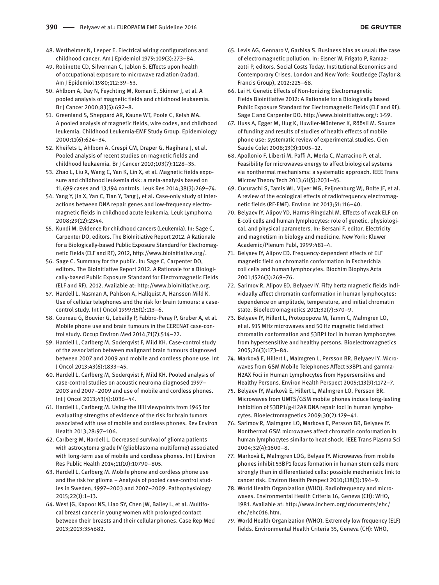- 48. Wertheimer N, Leeper E. Electrical wiring configurations and childhood cancer. Am J Epidemiol 1979;109(3):273–84.
- 49. Robinette CD, Silverman C, Jablon S. Effects upon health of occupational exposure to microwave radiation (radar). Am J Epidemiol 1980;112:39–53.
- 50. Ahlbom A, Day N, Feychting M, Roman E, Skinner J, et al. A pooled analysis of magnetic fields and childhood leukaemia. Br J Cancer 2000;83(5):692–8.
- 51. Greenland S, Sheppard AR, Kaune WT, Poole C, Kelsh MA. A pooled analysis of magnetic fields, wire codes, and childhood leukemia. Childhood Leukemia-EMF Study Group. Epidemiology 2000;11(6):624–34.
- 52. Kheifets L, Ahlbom A, Crespi CM, Draper G, Hagihara J, et al. Pooled analysis of recent studies on magnetic fields and childhood leukaemia. Br J Cancer 2010;103(7):1128–35.
- 53. Zhao L, Liu X, Wang C, Yan K, Lin X, et al. Magnetic fields exposure and childhood leukemia risk: a meta-analysis based on 11,699 cases and 13,194 controls. Leuk Res 2014;38(3):269–74.
- 54. Yang Y, Jin X, Yan C, Tian Y, Tang J, et al. Case-only study of interactions between DNA repair genes and low-frequency electromagnetic fields in childhood acute leukemia. Leuk Lymphoma 2008;29(12):2344.
- 55. Kundi M. Evidence for childhood cancers (Leukemia). In: Sage C, Carpenter DO, editors. The BioInitiative Report 2012. A Rationale for a Biologically-based Public Exposure Standard for Electromagnetic Fields (ELF and RF), 2012, http://www.bioinitiative.org/.
- 56. Sage C. Summary for the public. In: Sage C, Carpenter DO, editors. The BioInitiative Report 2012. A Rationale for a Biologically-based Public Exposure Standard for Electromagnetic Fields (ELF and RF), 2012. Available at: http://www.bioinitiative.org.
- 57. Hardell L, Nasman A, Pahlson A, Hallquist A, Hansson Mild K. Use of cellular telephones and the risk for brain tumours: a casecontrol study. Int J Oncol 1999;15(1):113–6.
- 58. Coureau G, Bouvier G, Lebailly P, Fabbro-Peray P, Gruber A, et al. Mobile phone use and brain tumours in the CERENAT case-control study. Occup Environ Med 2014;71(7):514–22.
- 59. Hardell L, Carlberg M, Soderqvist F, Mild KH. Case-control study of the association between malignant brain tumours diagnosed between 2007 and 2009 and mobile and cordless phone use. Int J Oncol 2013;43(6):1833–45.
- 60. Hardell L, Carlberg M, Soderqvist F, Mild KH. Pooled analysis of case-control studies on acoustic neuroma diagnosed 1997– 2003 and 2007–2009 and use of mobile and cordless phones. Int J Oncol 2013;43(4):1036–44.
- 61. Hardell L, Carlberg M. Using the Hill viewpoints from 1965 for evaluating strengths of evidence of the risk for brain tumors associated with use of mobile and cordless phones. Rev Environ Health 2013;28:97–106.
- 62. Carlberg M, Hardell L. Decreased survival of glioma patients with astrocytoma grade IV (glioblastoma multiforme) associated with long-term use of mobile and cordless phones. Int J Environ Res Public Health 2014;11(10):10790–805.
- 63. Hardell L, Carlberg M. Mobile phone and cordless phone use and the risk for glioma – Analysis of pooled case-control studies in Sweden, 1997–2003 and 2007–2009. Pathophysiology 2015;22(1):1–13.
- 64. West JG, Kapoor NS, Liao SY, Chen JW, Bailey L, et al. Multifocal breast cancer in young women with prolonged contact between their breasts and their cellular phones. Case Rep Med 2013;2013:354682.
- 65. Levis AG, Gennaro V, Garbisa S. Business bias as usual: the case of electromagnetic pollution. In: Elsner W, Frigato P, Ramazzotti P, editors. Social Costs Today. Institutional Economics and Contemporary Crises. London and New York: Routledge (Taylor & Francis Group), 2012:225–68.
- 66. Lai H. Genetic Effects of Non-Ionizing Electromagnetic Fields Bioinitiative 2012: A Rationale for a Biologically based Public Exposure Standard for Electromagnetic Fields (ELF and RF). Sage C and Carpenter DO. http://www.bioinitiative.org/: 1-59.
- 67. Huss A, Egger M, Hug K, Huwiler-Müntener K, Röösli M. Source of funding and results of studies of health effects of mobile phone use: systematic review of experimental studies. Cien Saude Colet 2008;13(3):1005–12.
- 68. Apollonio F, Liberti M, Paffi A, Merla C, Marracino P, et al. Feasibility for microwaves energy to affect biological systems via nonthermal mechanisms: a systematic approach. IEEE Trans Microw Theory Tech 2013;61(5):2031–45.
- 69. Cucurachi S, Tamis WL, Vijver MG, Peijnenburg WJ, Bolte JF, et al. A review of the ecological effects of radiofrequency electromagnetic fields (RF-EMF). Environ Int 2013;51:116–40.
- 70. Belyaev IY, Alipov YD, Harms-Ringdahl M. Effects of weak ELF on E-coli cells and human lymphocytes: role of genetic, physiological, and physical parameters. In: Bersani F, editor. Electricity and magnetism in biology and medicine. New York: Kluwer Academic/Plenum Publ, 1999:481–4.
- 71. Belyaev IY, Alipov ED. Frequency-dependent effects of ELF magnetic field on chromatin conformation in Escherichia coli cells and human lymphocytes. Biochim Biophys Acta 2001;1526(3):269–76.
- 72. Sarimov R, Alipov ED, Belyaev IY. Fifty hertz magnetic fields individually affect chromatin conformation in human lymphocytes: dependence on amplitude, temperature, and initial chromatin state. Bioelectromagnetics 2011;32(7):570–9.
- 73. Belyaev IY, Hillert L, Protopopova M, Tamm C, Malmgren LO, et al. 915 MHz microwaves and 50 Hz magnetic field affect chromatin conformation and 53BP1 foci in human lymphocytes from hypersensitive and healthy persons. Bioelectromagnetics 2005;26(3):173–84.
- 74. Markovà E, Hillert L, Malmgren L, Persson BR, Belyaev IY. Microwaves from GSM Mobile Telephones Affect 53BP1 and gamma-H2AX Foci in Human Lymphocytes from Hypersensitive and Healthy Persons. Environ Health Perspect 2005;113(9):1172–7.
- 75. Belyaev IY, Markovà E, Hillert L, Malmgren LO, Persson BR. Microwaves from UMTS/GSM mobile phones induce long-lasting inhibition of 53BP1/g-H2AX DNA repair foci in human lymphocytes. Bioelectromagnetics 2009;30(2):129–41.
- 76. Sarimov R, Malmgren LO, Markova E, Persson BR, Belyaev IY. Nonthermal GSM microwaves affect chromatin conformation in human lymphocytes similar to heat shock. IEEE Trans Plasma Sci 2004;32(4):1600–8.
- 77. Markovà E, Malmgren LOG, Belyae IY. Microwaves from mobile phones inhibit 53BP1 focus formation in human stem cells more strongly than in differentiated cells: possible mechanistic link to cancer risk. Environ Health Perspect 2010;118(3):394–9.
- 78. World Health Organization (WHO). Radiofrequency and microwaves. Environmental Health Criteria 16, Geneva (CH): WHO, 1981. Available at: http://www.inchem.org/documents/ehc/ ehc/ehc016.htm.
- 79. World Health Organization (WHO). Extremely low frequency (ELF) fields. Environmental Health Criteria 35, Geneva (CH): WHO,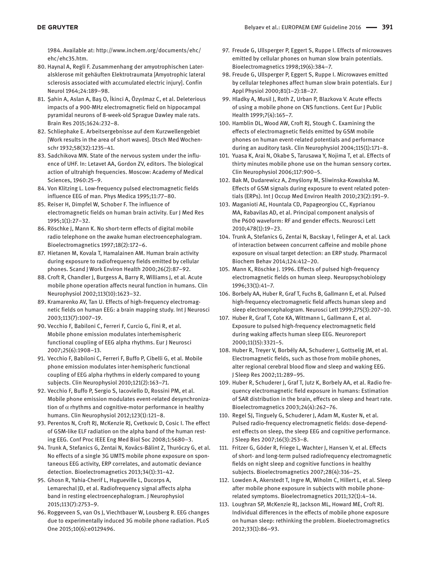1984. Available at: http://www.inchem.org/documents/ehc/ ehc/ehc35.htm.

- 80. Haynal A, Regli F. Zusammenhang der amyotrophischen Lateralsklerose mit gehäuften Elektrotraumata [Amyotrophic lateral sclerosis associated with accumulated electric injury]. Confin Neurol 1964;24:189–98.
- 81. Şahin A, Aslan A, Baş O, İkinci A, Özyılmaz C, et al. Deleterious impacts of a 900-MHz electromagnetic field on hippocampal pyramidal neurons of 8-week-old Sprague Dawley male rats. Brain Res 2015;1624:232–8.
- 82. Schliephake E. Arbeitsergebnisse auf dem Kurzwellengebiet [Work results in the area of short waves]. Dtsch Med Wochenschr 1932;58(32):1235–41.
- 83. Sadchikova MN. State of the nervous system under the influence of UHF. In: Letavet AA, Gordon ZV, editors. The biological action of ultrahigh frequencies. Moscow: Academy of Medical Sciences, 1960:25–9.
- 84. Von Klitzing L. Low-frequency pulsed electromagnetic fields influence EEG of man. Phys Medica 1995;11:77–80.
- 85. Reiser H, Dimpfel W, Schober F. The influence of electromagnetic fields on human brain activity. Eur J Med Res 1995;1(1):27–32.
- 86. Röschke J, Mann K. No short-term effects of digital mobile radio telephone on the awake human electroencephalogram. Bioelectromagnetics 1997;18(2):172–6.
- 87. Hietanen M, Kovala T, Hamalainen AM. Human brain activity during exposure to radiofrequency fields emitted by cellular phones. Scand J Work Environ Health 2000;26(2):87–92.
- 88. Croft R, Chandler J, Burgess A, Barry R, Williams J, et al. Acute mobile phone operation affects neural function in humans. Clin Neurophysiol 2002;113(10):1623–32.
- 89. Kramarenko AV, Tan U. Effects of high-frequency electromagnetic fields on human EEG: a brain mapping study. Int J Neurosci 2003;113(7):1007–19.
- 90. Vecchio F, Babiloni C, Ferreri F, Curcio G, Fini R, et al. Mobile phone emission modulates interhemispheric functional coupling of EEG alpha rhythms. Eur J Neurosci 2007;25(6):1908–13.
- 91. Vecchio F, Babiloni C, Ferreri F, Buffo P, Cibelli G, et al. Mobile phone emission modulates inter-hemispheric functional coupling of EEG alpha rhythms in elderly compared to young subjects. Clin Neurophysiol 2010;121(2):163–71.
- 92. Vecchio F, Buffo P, Sergio S, Iacoviello D, Rossini PM, et al. Mobile phone emission modulates event-related desynchronization of  $\alpha$  rhythms and cognitive-motor performance in healthy humans. Clin Neurophysiol 2012;123(1):121–8.
- 93. Perentos N, Croft RJ, McKenzie RJ, Cvetkovic D, Cosic I. The effect of GSM-like ELF radiation on the alpha band of the human resting EEG. Conf Proc IEEE Eng Med Biol Soc 2008;1:5680–3.
- 94. Trunk A, Stefanics G, Zentai N, Kovács-Bálint Z, Thuróczy G, et al. No effects of a single 3G UMTS mobile phone exposure on spontaneous EEG activity, ERP correlates, and automatic deviance detection. Bioelectromagnetics 2013;34(1):31–42.
- 95. Ghosn R, Yahia-Cherif L, Hugueville L, Ducorps A, Lemarechal JD, et al. Radiofrequency signal affects alpha band in resting electroencephalogram. J Neurophysiol 2015;113(7):2753–9.
- 96. Roggeveen S, van Os J, Viechtbauer W, Lousberg R. EEG changes due to experimentally induced 3G mobile phone radiation. PLoS One 2015;10(6):e0129496.
- 97. Freude G, Ullsperger P, Eggert S, Ruppe I. Effects of microwaves emitted by cellular phones on human slow brain potentials. Bioelectromagnetics 1998;19(6):384–7.
- 98. Freude G, Ullsperger P, Eggert S, Ruppe I. Microwaves emitted by cellular telephones affect human slow brain potentials. Eur J Appl Physiol 2000;81(1–2):18–27.
- 99. Hladky A, Musil J, Roth Z, Urban P, Blazkova V. Acute effects of using a mobile phone on CNS functions. Cent Eur J Public Health 1999;7(4):165–7.
- 100. Hamblin DL, Wood AW, Croft RJ, Stough C. Examining the effects of electromagnetic fields emitted by GSM mobile phones on human event-related potentials and performance during an auditory task. Clin Neurophysiol 2004;115(1):171–8.
- 101. Yuasa K, Arai N, Okabe S, Tarusawa Y, Nojima T, et al. Effects of thirty minutes mobile phone use on the human sensory cortex. Clin Neurophysiol 2006;117:900–5.
- 102. Bak M, Dudarewicz A, Zmyślony M, Sliwinska-Kowalska M. Effects of GSM signals during exposure to event related potentials (ERPs). Int J Occup Med Environ Health 2010;23(2):191–9.
- 103. Maganioti AE, Hountala CD, Papageorgiou CC, Kyprianou MA, Rabavilas AD, et al. Principal component analysis of the P600 waveform: RF and gender effects. Neurosci Lett 2010;478(1):19–23.
- 104. Trunk A, Stefanics G, Zentai N, Bacskay I, Felinger A, et al. Lack of interaction between concurrent caffeine and mobile phone exposure on visual target detection: an ERP study. Pharmacol Biochem Behav 2014;124:412–20.
- 105. Mann K, Röschke J. 1996. Effects of pulsed high-frequency electromagnetic fields on human sleep. Neuropsychobiology 1996;33(1):41–7.
- 106. Borbely AA, Huber R, Graf T, Fuchs B, Gallmann E, et al. Pulsed high-frequency electromagnetic field affects human sleep and sleep electroencephalogram. Neurosci Lett 1999;275(3):207–10.
- 107. Huber R, Graf T, Cote KA, Wittmann L, Gallmann E, et al. Exposure to pulsed high-frequency electromagnetic field during waking affects human sleep EEG. Neuroreport 2000;11(15):3321–5.
- 108. Huber R, Treyer V, Borbély AA, Schuderer J, Gottselig JM, et al. Electromagnetic fields, such as those from mobile phones, alter regional cerebral blood flow and sleep and waking EEG. J Sleep Res 2002;11:289–95.
- 109. Huber R, Schuderer J, Graf T, Jutz K, Borbely AA, et al. Radio frequency electromagnetic field exposure in humans: Estimation of SAR distribution in the brain, effects on sleep and heart rate. Bioelectromagnetics 2003;24(4):262–76.
- 110. Regel SJ, Tinguely G, Schuderer J, Adam M, Kuster N, et al. Pulsed radio-frequency electromagnetic fields: dose-dependent effects on sleep, the sleep EEG and cognitive performance. J Sleep Res 2007;16(3):253–8.
- 111. Fritzer G, Göder R, Friege L, Wachter J, Hansen V, et al. Effects of short- and long-term pulsed radiofrequency electromagnetic fields on night sleep and cognitive functions in healthy subjects. Bioelectromagnetics 2007;28(4):316–25.
- 112. Lowden A, Akerstedt T, Ingre M, Wiholm C, Hillert L, et al. Sleep after mobile phone exposure in subjects with mobile phonerelated symptoms. Bioelectromagnetics 2011;32(1):4–14.
- 113. Loughran SP, McKenzie RJ, Jackson ML, Howard ME, Croft RJ. Individual differences in the effects of mobile phone exposure on human sleep: rethinking the problem. Bioelectromagnetics 2012;33(1):86–93.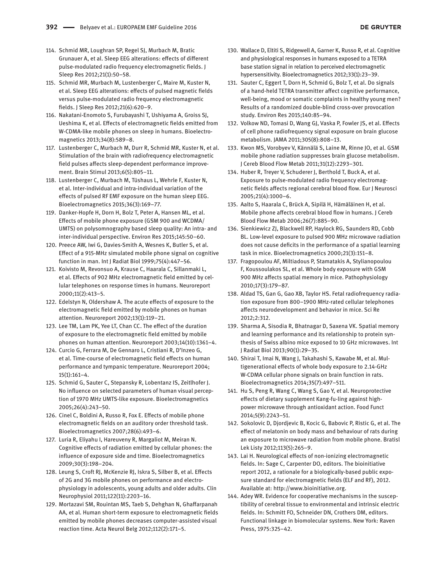- 114. Schmid MR, Loughran SP, Regel SJ, Murbach M, Bratic Grunauer A, et al. Sleep EEG alterations: effects of different pulse-modulated radio frequency electromagnetic fields. J Sleep Res 2012;21(1):50–58.
- 115. Schmid MR, Murbach M, Lustenberger C, Maire M, Kuster N, et al. Sleep EEG alterations: effects of pulsed magnetic fields versus pulse-modulated radio frequency electromagnetic fields. J Sleep Res 2012;21(6):620–9.
- 116. Nakatani-Enomoto S, Furubayashi T, Ushiyama A, Groiss SJ, Ueshima K, et al. Effects of electromagnetic fields emitted from W-CDMA-like mobile phones on sleep in humans. Bioelectromagnetics 2013;34(8):589–8.
- 117. Lustenberger C, Murbach M, Durr R, Schmid MR, Kuster N, et al. Stimulation of the brain with radiofrequency electromagnetic field pulses affects sleep-dependent performance improvement. Brain Stimul 2013;6(5):805–11.
- 118. Lustenberger C, Murbach M, Tüshaus L, Wehrle F, Kuster N, et al. Inter-individual and intra-individual variation of the effects of pulsed RF EMF exposure on the human sleep EEG. Bioelectromagnetics 2015;36(3):169–77.
- 119. Danker-Hopfe H, Dorn H, Bolz T, Peter A, Hansen ML, et al. Effects of mobile phone exposure (GSM 900 and WCDMA/ UMTS) on polysomnography based sleep quality: An intra- and inter-individual perspective. Environ Res 2015;145:50–60.
- 120. Preece AW, Iwi G, Davies-Smith A, Wesnes K, Butler S, et al. Effect of a 915-MHz simulated mobile phone signal on cognitive function in man. Int J Radiat Biol 1999;75(4):447–56.
- 121. Koivisto M, Revonsuo A, Krause C, Haarala C, Sillanmaki L, et al. Effects of 902 MHz electromagnetic field emitted by cellular telephones on response times in humans. Neuroreport 2000;11(2):413–5.
- 122. Edelstyn N, Oldershaw A. The acute effects of exposure to the electromagnetic field emitted by mobile phones on human attention. Neuroreport 2002;13(1):119–21.
- 123. Lee TM, Lam PK, Yee LT, Chan CC. The effect of the duration of exposure to the electromagnetic field emitted by mobile phones on human attention. Neuroreport 2003;14(10):1361–4.
- 124. Curcio G, Ferrara M, De Gennaro L, Cristiani R, D'Inzeo G, et al. Time-course of electromagnetic field effects on human performance and tympanic temperature. Neuroreport 2004; 15(1):161–4.
- 125. Schmid G, Sauter C, Stepansky R, Lobentanz IS, Zeitlhofer J. No influence on selected parameters of human visual perception of 1970 MHz UMTS-like exposure. Bioelectromagnetics 2005;26(4):243–50.
- 126. Cinel C, Boldini A, Russo R, Fox E. Effects of mobile phone electromagnetic fields on an auditory order threshold task. Bioelectromagnetics 2007;28(6):493–6.
- 127. Luria R, Eliyahu I, Hareuveny R, Margaliot M, Meiran N. Cognitive effects of radiation emitted by cellular phones: the influence of exposure side and time. Bioelectromagnetics 2009;30(3):198–204.
- 128. Leung S, Croft RJ, McKenzie RJ, Iskra S, Silber B, et al. Effects of 2G and 3G mobile phones on performance and electrophysiology in adolescents, young adults and older adults. Clin Neurophysiol 2011;122(11):2203–16.
- 129. Mortazavi SM, Rouintan MS, Taeb S, Dehghan N, Ghaffarpanah AA, et al. Human short-term exposure to electromagnetic fields emitted by mobile phones decreases computer-assisted visual reaction time. Acta Neurol Belg 2012;112(2):171–5.
- 130. Wallace D, Eltiti S, Ridgewell A, Garner K, Russo R, et al. Cognitive and physiological responses in humans exposed to a TETRA base station signal in relation to perceived electromagnetic hypersensitivity. Bioelectromagnetics 2012;33(1):23–39.
- 131. Sauter C, Eggert T, Dorn H, Schmid G, Bolz T, et al. Do signals of a hand-held TETRA transmitter affect cognitive performance, well-being, mood or somatic complaints in healthy young men? Results of a randomized double-blind cross-over provocation study. Environ Res 2015;140:85–94.
- 132. Volkow ND, Tomasi D, Wang GJ, Vaska P, Fowler JS, et al. Effects of cell phone radiofrequency signal exposure on brain glucose metabolism. JAMA 2011;305(8):808–13.
- 133. Kwon MS, Vorobyev V, Kännälä S, Laine M, Rinne JO, et al. GSM mobile phone radiation suppresses brain glucose metabolism. J Cereb Blood Flow Metab 2011;31(12):2293–301.
- 134. Huber R, Treyer V, Schuderer J, Berthold T, Buck A, et al. Exposure to pulse-modulated radio frequency electromagnetic fields affects regional cerebral blood flow. Eur J Neurosci 2005;21(4):1000–6.
- 135. Aalto S, Haarala C, Brück A, Sipilä H, Hämäläinen H, et al. Mobile phone affects cerebral blood flow in humans. J Cereb Blood Flow Metab 2006;26(7):885–90.
- 136. Sienkiewicz ZJ, Blackwell RP, Haylock RG, Saunders RD, Cobb BL. Low-level exposure to pulsed 900 MHz microwave radiation does not cause deficits in the performance of a spatial learning task in mice. Bioelectromagnetics 2000;21(3):151–8.
- 137. Fragopoulou AF, Miltiadous P, Stamatakis A, Stylianopoulou F, Koussoulakos SL, et al. Whole body exposure with GSM 900 MHz affects spatial memory in mice. Pathophysiology 2010;17(3):179–87.
- 138. Aldad TS, Gan G, Gao XB, Taylor HS. Fetal radiofrequency radiation exposure from 800–1900 MHz-rated cellular telephones affects neurodevelopment and behavior in mice. Sci Re 2012;2:312.
- 139. Sharma A, Sisodia R, Bhatnagar D, Saxena VK. Spatial memory and learning performance and its relationship to protein synthesis of Swiss albino mice exposed to 10 GHz microwaves. Int J Radiat Biol 2013;90(1):29–35.
- 140. Shirai T, Imai N, Wang J, Takahashi S, Kawabe M, et al. Multigenerational effects of whole body exposure to 2.14-GHz W-CDMA cellular phone signals on brain function in rats. Bioelectromagnetics 2014;35(7):497–511.
- 141. Hu S, Peng R, Wang C, Wang S, Gao Y, et al. Neuroprotective effects of dietary supplement Kang-fu-ling against highpower microwave through antioxidant action. Food Funct 2014;5(9):2243–51.
- 142. Sokolovic D, Djordjevic B, Kocic G, Babovic P, Ristic G, et al. The effect of melatonin on body mass and behaviour of rats during an exposure to microwave radiation from mobile phone. Bratisl Lek Listy 2012;113(5):265–9.
- 143. Lai H. Neurological effects of non-ionizing electromagnetic fields. In: Sage C, Carpenter DO, editors. The bioinitiative report 2012, a rationale for a biologically-based public exposure standard for electromagnetic fields (ELF and RF), 2012. Available at: http://www.bioinitiative.org.
- 144. Adey WR. Evidence for cooperative mechanisms in the susceptibility of cerebral tissue to environmental and intrinsic electric fields. In: Schmitt FO, Schneider DN, Crothers DM, editors. Functional linkage in biomolecular systems. New York: Raven Press, 1975:325–42.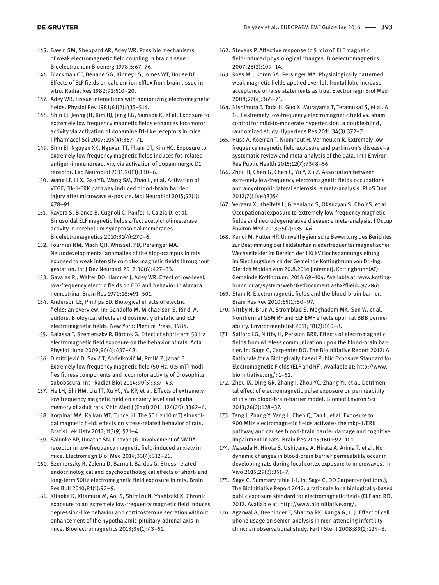- 145. Bawin SM, Sheppard AR, Adey WR. Possible mechanisms of weak electromagnetic field coupling in brain tissue. Bioelectrochem Bioenerg 1978;5:67–76.
- 146. Blackman CF, Benane SG, Kinney LS, Joines WT, House DE. Effects of ELF fields on calcium ion efflux from brain tissue in vitro. Radiat Res 1982;92:510–20.
- 147. Adey WR. Tissue interactions with nonionizing electromagnetic fields. Physiol Rev 1981;61(2):435–514.
- 148. Shin EJ, Jeong JH, Kim HJ, Jang CG, Yamada K, et al. Exposure to extremely low frequency magnetic fields enhances locomotor activity via activation of dopamine D1-like receptors in mice. J Pharmacol Sci 2007;105(4):367–71.
- 149. Shin EJ, Nguyen XK, Nguyen TT, Pham DT, Kim HC. Exposure to extremely low frequency magnetic fields induces fos-related antigen-immunoreactivity via activation of dopaminergic D1 receptor. Exp Neurobiol 2011;20(3):130–6.
- 150. Wang LF, Li X, Gao YB, Wang SM, Zhao L, et al. Activation of VEGF/Flk-1-ERK pathway induced blood-brain barrier injury after microwave exposure. Mol Neurobiol 2015;52(1): 478–91.
- 151. Ravera S, Bianco B, Cugnoli C, Panfoli I, Calzia D, et al. Sinusoidal ELF magnetic fields affect acetylcholinesterase activity in cerebellum synaptosomal membranes. Bioelectromagnetics 2010;31(4):270–6.
- 152. Fournier NM, Mach QH, Whissell PD, Persinger MA. Neurodevelopmental anomalies of the hippocampus in rats exposed to weak intensity complex magnetic fields throughout gestation. Int J Dev Neurosci 2012;30(6):427–33.
- 153. Gavalas RJ, Walter DO, Hamner J, Adey WR. Effect of low-level, low-frequency electric fields on EEG and behavior in Macaca nemestrina. Brain Res 1970;18:491–501.
- 154. Anderson LE, Phillips ED. Biological effects of electric fields: an overview. In: Gandolfo M, Michaelson S, Rindi A, editors. Biological effects and dosimetry of static and ELF electromagnetic fields. New York: Plenum Press, 1984.
- 155. Balassa T, Szemerszky R, Bárdos G. Effect of short-term 50 Hz electromagnetic field exposure on the behavior of rats. Acta Physiol Hung 2009;96(4):437–48.
- 156. Dimitrijević D, Savić T, Anđelković M, Prolić Z, Janać B. Extremely low frequency magnetic field (50 Hz, 0.5 mT) modifies fitness components and locomotor activity of Drosophila subobscura. Int J Radiat Biol 2014;90(5):337–43.
- 157. He LH, Shi HM, Liu TT, Xu YC, Ye KP, et al. Effects of extremely low frequency magnetic field on anxiety level and spatial memory of adult rats. Chin Med J (Engl) 2011;124(20):3362–6.
- 158. Korpinar MA, Kalkan MT, Tuncel H. The 50 Hz (10 mT) sinusoidal magnetic field: effects on stress-related behavior of rats. Bratisl Lek Listy 2012;113(9):521–4.
- 159. Salunke BP, Umathe SN, Chavan JG. Involvement of NMDA receptor in low-frequency magnetic field-induced anxiety in mice. Electromagn Biol Med 2014;33(4):312–26.
- 160. Szemerszky R, Zelena D, Barna I, Bárdos G. Stress-related endocrinological and psychopathological effects of short- and long-term 50Hz electromagnetic field exposure in rats. Brain Res Bull 2010;81(1):92–9.
- 161. Kitaoka K, Kitamura M, Aoi S, Shimizu N, Yoshizaki K. Chronic exposure to an extremely low-frequency magnetic field induces depression-like behavior and corticosterone secretion without enhancement of the hypothalamic-pituitary-adrenal axis in mice. Bioelectromagnetics 2013;34(1):43–51.
- 162. Stevens P. Affective response to 5 microT ELF magnetic field-induced physiological changes. Bioelectromagnetics 2007;28(2):109–14.
- 163. Ross ML, Koren SA, Persinger MA. Physiologically patterned weak magnetic fields applied over left frontal lobe increase acceptance of false statements as true. Electromagn Biol Med 2008;27(4):365–71.
- 164. Nishimura T, Tada H, Guo X, Murayama T, Teramukai S, et al. A 1-μT extremely low-frequency electromagnetic field vs. sham control for mild-to-moderate hypertension: a double-blind, randomized study. Hypertens Res 2011;34(3):372–7.
- 165. Huss A, Koeman T, Kromhout H, Vermeulen R. Extremely low frequency magnetic field exposure and parkinson's disease–a systematic review and meta-analysis of the data. Int J Environ Res Public Health 2015;12(7):7348–56.
- 166. Zhou H, Chen G, Chen C, Yu Y, Xu Z. Association between extremely low-frequency electromagnetic fields occupations and amyotrophic lateral sclerosis: a meta-analysis. PLoS One 2012;7(11):e48354.
- 167. Vergara X, Kheifets L, Greenland S, Oksuzyan S, Cho YS, et al. Occupational exposure to extremely low-frequency magnetic fields and neurodegenerative disease: a meta-analysis. J Occup Environ Med 2013;55(2):135–46.
- 168. Kundi M, Hutter HP. Umwelthygienische Bewertung des Berichtes zur Bestimmung der Feldstarken niederfrequenter magnetischer Wechselfelder im Bereich der 110 kV Hochspannungsleitung im Siedlungsbereich der Gemeinde Kottingbrunn von Dr.-Ing. Dietrich Moldan vom 20.8.2014 [Internet]. Kottingbrunn(AT): Gemeinde Kottinbrunn, 2014:69–104. Available at: www.kottingbrunn.or.at/system/web/GetDocument.ashx?fileid=972861.
- 169. Stam R. Electromagnetic fields and the blood-brain barrier. Brain Res Rev 2010;65(1):80–97.
- 170. Nittby H, Brun A, Strömblad S, Moghadam MK, Sun W, et al. Nonthermal GSM RF and ELF EMF effects upon rat BBB permeability. Environmentalist 2011; 31(2):140–8.
- 171. Salford LG, Nittby H, Persson BRR. Effects of electromagnetic fields from wireless communication upon the blood-brain barrier. In: Sage C, Carpenter DO. The BioInitiative Report 2012: A Rationale for a Biologically based Public Exposure Standard for Electromagnetic Fields (ELF and RF). Available at: http://www. bioinitiative.org/: 1–52.
- 172. Zhou JX, Ding GR, Zhang J, Zhou YC, Zhang YJ, et al. Detrimental effect of electromagnetic pulse exposure on permeability of in vitro blood-brain-barrier model. Biomed Environ Sci 2013;26(2):128–37.
- 173. Tang J, Zhang Y, Yang L, Chen Q, Tan L, et al. Exposure to 900 MHz electromagnetic fields activates the mkp-1/ERK pathway and causes blood-brain barrier damage and cognitive impairment in rats. Brain Res 2015;1601:92–101.
- 174. Masuda H, Hirota S, Ushiyama A, Hirata A, Arima T, et al. No dynamic changes in blood-brain barrier permeability occur in developing rats during local cortex exposure to microwaves. In Vivo 2015;29(3):351–7.
- 175. Sage C. Summary table 1-1. In: Sage C, DO Carpenter (editors.), The BioInitiative Report 2012: a rationale for a biologically-based public exposure standard for electromagnetic fields (ELF and RF), 2012. Available at: http://www.bioinitiative.org/.
- 176. Agarwal A, Deepinder F, Sharma RK, Ranga G, Li J. Effect of cell phone usage on semen analysis in men attending infertility clinic: an observational study. Fertil Steril 2008;89(1):124–8.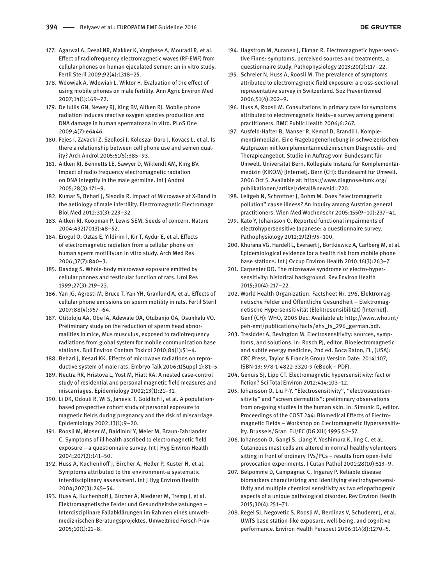- 177. Agarwal A, Desai NR, Makker K, Varghese A, Mouradi R, et al. Effect of radiofrequency electromagnetic waves (RF-EMF) from cellular phones on human ejaculated semen: an in vitro study. Fertil Steril 2009;92(4):1318–25.
- 178. Wdowiak A, Wdowiak L, Wiktor H. Evaluation of the effect of using mobile phones on male fertility. Ann Agric Environ Med 2007;14(1):169–72.
- 179. De Iuliis GN, Newey RJ, King BV, Aitken RJ. Mobile phone radiation induces reactive oxygen species production and DNA damage in human spermatozoa in vitro. PLoS One 2009;4(7):e6446.
- 180. Fejes I, Zavacki Z, Szollosi J, Koloszar Daru J, Kovacs L, et al. Is there a relationship between cell phone use and semen quality? Arch Androl 2005;51(5):385–93.
- 181. Aitken RJ, Bennetts LE, Sawyer D, Wiklendt AM, King BV. Impact of radio frequency electromagnetic radiation on DNA integrity in the male germline. Int J Androl 2005;28(3):171–9.
- 182. Kumar S, Behari J, Sisodia R. Impact of Microwave at X-Band in the aetiology of male infertility. Electromagnetic Electromagn Biol Med 2012;31(3):223–32.
- 183. Aitken RJ, Koopman P, Lewis SEM. Seeds of concern. Nature 2004;432(7013):48–52.
- 184. Erogul O, Oztas E, Yildirim I, Kir T, Aydur E, et al. Effects of electromagnetic radiation from a cellular phone on human sperm motility:an in vitro study. Arch Med Res 2006;37(7):840–3.
- 185. Dasdag S. Whole-body microwave exposure emitted by cellular phones and testicular function of rats. Urol Res 1999;27(3):219–23.
- 186. Yan JG, Agresti M, Bruce T, Yan YH, Granlund A, et al. Effects of cellular phone emissions on sperm motility in rats. Fertil Steril 2007;88(4):957–64.
- 187. Otitoloju AA, Obe IA, Adewale OA, Otubanjo OA, Osunkalu VO. Preliminary study on the reduction of sperm head abnormalities in mice, Mus musculus, exposed to radiofrequency radiations from global system for mobile communication base stations. Bull Environ Contam Toxicol 2010;84(1):51–4.
- 188. Behari J, Kesari KK. Effects of microwave radiations on reproductive system of male rats. Embryo Talk 2006;1(Suppl 1):81–5.
- 189. Neutra RR, Hristova L, Yost M, Hiatt RA. A nested case-control study of residential and personal magnetic field measures and miscarriages. Epidemiology 2002;13(1):21–31.
- 190. Li DK, Odouli R, Wi S, Janevic T, Golditch I, et al. A populationbased prospective cohort study of personal exposure to magnetic fields during pregnancy and the risk of miscarriage. Epidemiology 2002;13(1):9–20.
- 191. Roosli M, Moser M, Baldinini Y, Meier M, Braun-Fahrlander C. Symptoms of ill health ascribed to electromagnetic field exposure – a questionnaire survey. Int J Hyg Environ Health 2004;207(2):141–50.
- 192. Huss A, Kuchenhoff J, Bircher A, Heller P, Kuster H, et al. Symptoms attributed to the environment-a systematic interdisciplinary assessment. Int J Hyg Environ Health 2004;207(3):245–54.
- 193. Huss A, Kuchenhoff J, Bircher A, Niederer M, Tremp J, et al. Elektromagnetische Felder und Gesundheitsbelastungen – Interdisziplinare Fallabklärungen im Rahmen eines umweltmediznischen Beratungsprojektes. Umweltmed Forsch Prax 2005;10(1):21–8.
- 194. Hagstrom M, Auranen J, Ekman R. Electromagnetic hypersensitive Finns: symptoms, perceived sources and treatments, a questionnaire study. Pathophysiology 2013;20(2):117–22.
- 195. Schreier N, Huss A, Roosli M. The prevalence of symptoms attributed to electromagnetic field exposure: a cross-sectional representative survey in Switzerland. Soz Praventivmed 2006;51(4):202–9.
- 196. Huss A, Roosli M. Consultations in primary care for symptoms attributed to electromagnetic fields–a survey among general practitioners. BMC Public Health 2006;6:267.
- 197. Ausfeld-Hafter B, Manser R, Kempf D, Brandli I. Komplementärmedizin. Eine Fragebogenerhebung in schweizerischen Arztpraxen mit komplementärmedizinischem Diagnostik- und Therapieangebot. Studie im Auftrag vom Bundesamt für Umwelt. Universitat Bern. Kollegiale Instanz für Komplementärmedizin (KIKOM) [Internet]. Bern (CH): Bundesamt für Umwelt. 2006 Oct 5. Available at: https://www.diagnose-funk.org/ publikationen/artikel/detail&newsid=720.
- 198. Leitgeb N, Schrottner J, Bohm M. Does "electromagnetic pollution" cause illness? An inquiry among Austrian general practitioners. Wien Med Wochenschr 2005;155(9–10):237–41.
- 199. Kato Y, Johansson O. Reported functional impairments of electrohypersensitive Japanese: a questionnaire survey. Pathophysiology 2012;19(2):95–100.
- 200. Khurana VG, Hardell L, Everaert J, Bortkiewicz A, Carlberg M, et al. Epidemiological evidence for a health risk from mobile phone base stations. Int J Occup Environ Health 2010;16(3):263–7.
- 201. Carpenter DO. The microwave syndrome or electro-hypersensitivity: historical background. Rev Environ Health 2015;30(4):217–22.
- 202. World Health Organization. Factsheet Nr. 296, Elektromagnetische Felder und Öffentliche Gesundheit – Elektromagnetische Hypersensitivität (Elektrosensibilität) [Internet]. Genf (CH): WHO, 2005 Dec. Available at: http://www.who.int/ peh-emf/publications/facts/ehs\_fs\_296\_german.pdf.
- 203. Tresidder A, Bevington M. Electrosensitivity: sources, symptoms, and solutions. In: Rosch PJ, editor. Bioelectromagnetic and subtle energy medicine, 2nd ed. Boca Raton, FL, (USA): CRC Press, Taylor & Francis Group Version Date: 20141107, ISBN-13: 978-1-4822-3320-9 (eBook – PDF).
- 204. Genuis SJ, Lipp CT. Electromagnetic hypersensitivity: fact or fiction? Sci Total Environ 2012;414:103–12.
- 205. Johansson O, Liu P-Y. "Electrosensitivity", "electrosupersensitivity" and "screen dermatitis": preliminary observations from on-going studies in the human skin. In: Simunic D, editor. Proceedings of the COST 244: Biomedical Effects of Electromagnetic Fields – Workshop on Electromagnetic Hypersensitivity. Brussels/Graz: EU/EC (DG XIII) 1995:52–57.
- 206. Johansson O, Gangi S, Liang Y, Yoshimura K, Jing C, et al. Cutaneous mast cells are altered in normal healthy volunteers sitting in front of ordinary TVs/PCs – results from open-field provocation experiments. J Cutan Pathol 2001;28(10):513–9.
- 207. Belpomme D, Campagnac C, Irigaray P. Reliable disease biomarkers characterizing and identifying electrohypersensitivity and multiple chemical sensitivity as two etiopathogenic aspects of a unique pathological disorder. Rev Environ Health 2015;30(4):251–71.
- 208. Regel SJ, Negovetic S, Roosli M, Berdinas V, Schuderer J, et al. UMTS base station-like exposure, well-being, and cognitive performance. Environ Health Perspect 2006;114(8):1270–5.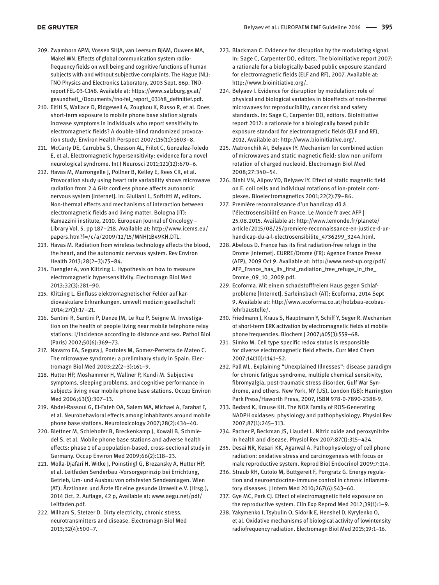- 209. Zwamborn APM, Vossen SHJA, van Leersum BJAM, Ouwens MA, Makel WN. Effects of global communication system radiofrequency fields on well being and cognitive functions of human subjects with and without subjective complaints. The Hague (NL): TNO Physics and Electronics Laboratory, 2003 Sept, 86p. TNOreport FEL-03-C148. Available at: https://www.salzburg.gv.at/ gesundheit\_/Documents/tno-fel\_report\_03148\_definitief.pdf.
- 210. Eltiti S, Wallace D, Ridgewell A, Zougkou K, Russo R, et al. Does short-term exposure to mobile phone base station signals increase symptoms in individuals who report sensitivity to electromagnetic fields? A double-blind randomized provocation study. Environ Health Perspect 2007;115(11):1603–8.
- 211. McCarty DE, Carrubba S, Chesson AL, Frilot C, Gonzalez-Toledo E, et al. Electromagnetic hypersensitivity: evidence for a novel neurological syndrome. Int J Neurosci 2011;121(12):670–6.
- 212. Havas M, Marrongelle J, Pollner B, Kelley E, Rees CR, et al. Provocation study using heart rate variability shows microwave radiation from 2.4 GHz cordless phone affects autonomic nervous system [Internet]. In: Giuliani L, Soffritti M, editors. Non-thermal effects and mechanisms of interaction between electromagnetic fields and living matter. Bologna (IT): Ramazzini institute, 2010. European Journal of Oncology – Library Vol. 5. pp 187–218. Available at: http://www.icems.eu/ papers.htm?f=/c/a/2009/12/15/MNHJ1B49KH.DTL.
- 213. Havas M. Radiation from wireless technology affects the blood, the heart, and the autonomic nervous system. Rev Environ Health 2013;28(2–3):75–84.
- 214. Tuengler A, von Klitzing L. Hypothesis on how to measure electromagnetic hypersensitivity. Electromagn Biol Med 2013;32(3):281–90.
- 215. Klitzing L. Einfluss elektromagnetischer Felder auf kardiovaskulare Erkrankungen. umwelt medizin gesellschaft 2014;27(1):17–21.
- 216. Santini R, Santini P, Danze JM, Le Ruz P, Seigne M. Investigation on the health of people living near mobile telephone relay stations: I/Incidence according to distance and sex. Pathol Biol (Paris) 2002;50(6):369–73.
- 217. Navarro EA, Segura J, Portoles M, Gomez-Perretta de Mateo C. The microwave syndrome: a preliminary study in Spain. Electromagn Biol Med 2003;22(2–3):161–9.
- 218. Hutter HP, Moshammer H, Wallner P, Kundi M. Subjective symptoms, sleeping problems, and cognitive performance in subjects living near mobile phone base stations. Occup Environ Med 2006;63(5):307–13.
- 219. Abdel-Rassoul G, El-Fateh OA, Salem MA, Michael A, Farahat F, et al. Neurobehavioral effects among inhabitants around mobile phone base stations. Neurotoxicology 2007;28(2):434–40.
- 220. Blettner M, Schlehofer B, Breckenkamp J, Kowall B, Schmiedel S, et al. Mobile phone base stations and adverse health effects: phase 1 of a population-based, cross-sectional study in Germany. Occup Environ Med 2009;66(2):118–23.
- 221. Molla-Djafari H, Witke J, Poinstingl G, Brezansky A, Hutter HP, et al. Leitfaden Senderbau -Vorsorgeprinzip bei Errichtung, Betrieb, Um- und Ausbau von ortsfesten Sendeanlagen. Wien (AT): Ärztinnen und Ärzte für eine gesunde Umwelt e.V. (Hrsg.), 2014 Oct. 2. Auflage, 42 p, Available at: www.aegu.net/pdf/ Leitfaden.pdf.
- 222. Milham S, Stetzer D. Dirty electricity, chronic stress, neurotransmitters and disease. Electromagn Biol Med 2013;32(4):500–7.
- 223. Blackman C. Evidence for disruption by the modulating signal. In: Sage C, Carpenter DO, editors. The bioInitiative report 2007: a rationale for a biologically-based public exposure standard for electromagnetic fields (ELF and RF), 2007. Available at: http://www.bioinitiative.org/.
- 224. Belyaev I. Evidence for disruption by modulation: role of physical and biological variables in bioeffects of non-thermal microwaves for reproducibility, cancer risk and safety standards. In: Sage C, Carpenter DO, editors. BioInitiative report 2012: a rationale for a biologically based public exposure standard for electromagnetic fields (ELF and RF), 2012, Available at: http://www.bioinitiative.org/.
- 225. Matronchik AI, Belyaev IY. Mechanism for combined action of microwaves and static magnetic field: slow non uniform rotation of charged nucleoid. Electromagn Biol Med 2008;27:340–54.
- 226. Binhi VN, Alipov YD, Belyaev IY. Effect of static magnetic field on E. coli cells and individual rotations of ion-protein complexes. Bioelectromagnetics 2001;22(2):79–86.
- 227. Première reconnaissance d'un handicap dû à l'électrosensibilité en France. Le Monde fr avec AFP | 25.08.2015. Available at: http://www.lemonde.fr/planete/ article/2015/08/25/premiere-reconnaissance-en-justice-d-unhandicap-du-a-l-electrosensibilite\_4736299\_3244.html.
- 228. Abelous D. France has its first radiation-free refuge in the Drome [Internet]. EURRE/Drome (FR): Agence France Presse (AFP), 2009 Oct 9. Available at: http://www.next-up.org/pdf/ AFP\_France\_has\_its\_first\_radiation\_free\_refuge\_in\_the\_ Drome\_09\_10\_2009.pdf.
- 229. Ecoforma. Mit einem schadstofffreiem Haus gegen Schlafprobleme [Internet]. Sarleinsbach (AT): Ecoforma, 2014 Sept 9. Available at: http://www.ecoforma.co.at/holzbau-ecobaulehrbaustelle/.
- 230. Friedmann J, Kraus S, Hauptmann Y, Schiff Y, Seger R. Mechanism of short-term ERK activation by electromagnetic fields at mobile phone frequencies. Biochem J 2007;405(3):559–68.
- 231. Simko M. Cell type specific redox status is responsible for diverse electromagnetic field effects. Curr Med Chem 2007;14(10):1141–52.
- 232. Pall ML. Explaining "Unexplained Illnesses": disease paradigm for chronic fatigue syndrome, multiple chemical sensitivity, fibromyalgia, post-traumatic stress disorder, Gulf War Syndrome, and others. New York, NY (US), London (GB): Harrington Park Press/Haworth Press, 2007, ISBN 978-0-7890-2388-9.
- 233. Bedard K, Krause KH. The NOX Family of ROS-Generating NADPH oxidases: physiology and pathophysiology. Physiol Rev 2007;87(1):245–313.
- 234. Pacher P, Beckman JS, Liaudet L. Nitric oxide and peroxynitrite in health and disease. Physiol Rev 2007;87(1):315–424.
- 235. Desai NR, Kesari KK, Agarwal A. Pathophysiology of cell phone radiation: oxidative stress and carcinogenesis with focus on male reproductive system. Reprod Biol Endocrinol 2009;7:114.
- 236. Straub RH, Cutolo M, Buttgereit F, Pongratz G. Energy regulation and neuroendocrine-immune control in chronic inflammatory diseases. J Intern Med 2010;267(6):543–60.
- 237. Gye MC, Park CJ. Effect of electromagnetic field exposure on the reproductive system. Clin Exp Reprod Med 2012;39(1):1–9.
- 238. Yakymenko I, Tsybulin O, Sidorik E, Henshel D, Kyrylenko O, et al. Oxidative mechanisms of biological activity of lowintensity radiofrequency radiation. Electromagn Biol Med 2015;19:1–16.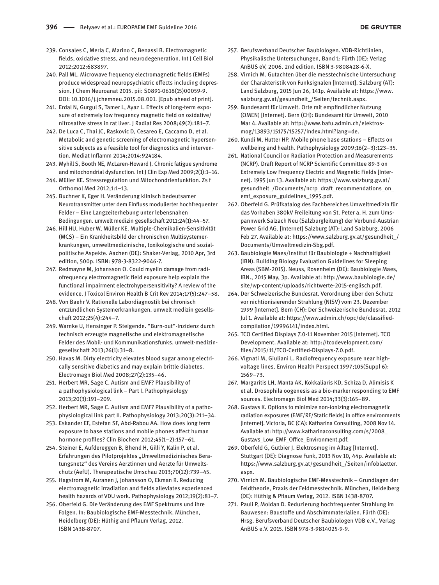- 239. Consales C, Merla C, Marino C, Benassi B. Electromagnetic fields, oxidative stress, and neurodegeneration. Int J Cell Biol 2012;2012:683897.
- 240. Pall ML. Microwave frequency electromagnetic fields (EMFs) produce widespread neuropsychiatric effects including depression. J Chem Neuroanat 2015. pii: S0891-0618(15)00059-9. DOI: 10.1016/j.jchemneu.2015.08.001. [Epub ahead of print].
- 241. Erdal N, Gurgul S, Tamer L, Ayaz L. Effects of long-term exposure of extremely low frequency magnetic field on oxidative/ nitrosative stress in rat liver. J Radiat Res 2008;49(2):181–7.
- 242. De Luca C, Thai JC, Raskovic D, Cesareo E, Caccamo D, et al. Metabolic and genetic screening of electromagnetic hypersensitive subjects as a feasible tool for diagnostics and intervention. Mediat Inflamm 2014;2014:924184.
- 243. Myhill S, Booth NE, McLaren-Howard J. Chronic fatigue syndrome and mitochondrial dysfunction. Int J Clin Exp Med 2009;2(1):1–16.
- 244. Müller KE. Stressregulation und Mitochondrienfunktion. Zs f Orthomol Med 2012;1:1–13.
- 245. Buchner K, Eger H. Veränderung klinisch bedeutsamer Neurotransmitter unter dem Einfluss modulierter hochfrequenter Felder – Eine Langzeiterhebung unter lebensnahen Bedingungen. umwelt medizin gesellschaft 2011;24(1):44–57.
- 246. Hill HU, Huber W, Müller KE. Multiple-Chemikalien-Sensitivität (MCS) – Ein Krankheitsbild der chronischen Multisystemerkrankungen, umweltmedizinische, toxikologische und sozialpolitische Aspekte. Aachen (DE): Shaker-Verlag, 2010 Apr, 3rd edition, 500p. ISBN: 978-3-8322-9046-7.
- 247. Redmayne M, Johansson O. Could myelin damage from radiofrequency electromagnetic field exposure help explain the functional impairment electrohypersensitivity? A review of the evidence. J Toxicol Environ Health B Crit Rev 2014;17(5):247–58.
- 248. Von Baehr V. Rationelle Labordiagnostik bei chronisch entzündlichen Systemerkrankungen. umwelt medizin gesellschaft 2012;25(4):244–7.
- 249. Warnke U, Hensinger P. Steigende. "Burn-out"-Inzidenz durch technisch erzeugte magnetische und elektromagnetische Felder des Mobil- und Kommunikationsfunks. umwelt-medizingesellschaft 2013;26(1):31–8.
- 250. Havas M. Dirty electricity elevates blood sugar among electrically sensitive diabetics and may explain brittle diabetes. Electromagn Biol Med 2008;27(2):135–46.
- 251. Herbert MR, Sage C. Autism and EMF? Plausibility of a pathophysiological link – Part I. Pathophysiology 2013;20(3):191–209.
- 252. Herbert MR, Sage C. Autism and EMF? Plausibility of a pathophysiological link part II. Pathophysiology 2013;20(3):211–34.
- 253. Eskander EF, Estefan SF, Abd-Rabou AA. How does long term exposure to base stations and mobile phones affect human hormone profiles? Clin Biochem 2012;45(1–2):157–61.
- 254. Steiner E, Aufdereggen B, Bhend H, Gilli Y, Kalin P, et al. Erfahrungen des Pilotprojektes "Umweltmedizinisches Beratungsnetz" des Vereins Aerztinnen und Aerzte für Umweltschutz (AefU). Therapeutische Umschau 2013;70(12):739–45.
- 255. Hagstrom M, Auranen J, Johansson O, Ekman R. Reducing electromagnetic irradiation and fields alleviates experienced health hazards of VDU work. Pathophysiology 2012;19(2):81–7.
- 256. Oberfeld G. Die Veränderung des EMF Spektrums und ihre Folgen. In: Baubiologische EMF-Messtechnik. München, Heidelberg (DE): Hüthig and Pflaum Verlag, 2012. ISBN 1438-8707.
- 257. Berufsverband Deutscher Baubiologen. VDB-Richtlinien, Physikalische Untersuchungen, Band 1: Fürth (DE): Verlag AnBUS eV, 2006. 2nd edition. ISBN 3-9808428-6-X.
- 258. Virnich M. Gutachten über die messtechnische Untersuchung der Charakteristik von Funksignalen [Internet]. Salzburg (AT): Land Salzburg, 2015 Jun 26, 141p. Available at: https://www. salzburg.gv.at/gesundheit\_/Seiten/technik.aspx.
- 259. Bundesamt für Umwelt. Orte mit empfindlicher Nutzung (OMEN) [Internet]. Bern (CH): Bundesamt für Umwelt, 2010 Mar 4. Available at: http://www.bafu.admin.ch/elektrosmog/13893/15175/15257/index.html?lang=de.
- 260. Kundi M, Hutter HP. Mobile phone base stations Effects on wellbeing and health. Pathophysiology 2009;16(2–3):123–35.
- 261. National Council on Radiation Protection and Measurements (NCRP). Draft Report of NCRP Scientific Committee 89-3 on Extremely Low Frequency Electric and Magnetic Fields [Internet]. 1995 Jun 13. Available at: https://www.salzburg.gv.at/ gesundheit\_/Documents/ncrp\_draft\_recommendations\_on\_ emf exposure guidelines 1995.pdf.
- 262. Oberfeld G. Prüfkatalog des Fachbereiches Umweltmedizin für das Vorhaben 380kV Freileitung von St. Peter a. H. zum Umspannwerk Salzach Neu (Salzburgleitung) der Verbund-Austrian Power Grid AG. [Internet] Salzburg (AT): Land Salzburg, 2006 Feb 27. Available at: https://www.salzburg.gv.at/gesundheit\_/ Documents/Umweltmedizin-Sbg.pdf.
- 263. Baubiologie Maes/Institut für Baubiologie + Nachhaltigkeit (IBN). Building Biology Evaluation Guidelines for Sleeping Areas (SBM-2015). Neuss, Rosenheim (DE): Baubiologie Maes, IBN., 2015 May, 3p. Available at: http://www.baubiologie.de/ site/wp-content/uploads/richtwerte-2015-englisch.pdf.
- 264. Der Schweizerische Bundesrat. Verordnung über den Schutz vor nichtionisierender Strahlung (NISV) vom 23. Dezember 1999 [Internet]. Bern (CH): Der Schweizerische Bundesrat, 2012 Jul 1. Available at: https://www.admin.ch/opc/de/classifiedcompilation/19996141/index.html.
- 265. TCO Certified Displays 7.0-11 November 2015 [Internet]. TCO Development. Available at: http://tcodevelopment.com/ files/2015/11/TCO-Certified-Displays-7.0.pdf.
- 266. Vignati M, Giuliani L. Radiofrequency exposure near highvoltage lines. Environ Health Perspect 1997;105(Suppl 6): 1569–73.
- 267. Margaritis LH, Manta AK, Kokkaliaris KD, Schiza D, Alimisis K et al. Drosophila oogenesis as a bio-marker responding to EMF sources. Electromagn Biol Med 2014;33(3):165–89.
- 268. Gustavs K. Options to minimize non-ionizing electromagnetic radiation exposures (EMF/RF/Static fields) in office environments [Internet]. Victoria, BC (CA): Katharina Consulting, 2008 Nov 14. Available at: http://www.katharinaconsulting.com/s/2008\_ Gustavs\_Low\_EMF\_Office\_Environment.pdf.
- 269. Oberfeld G, Gutbier J. Elektrosmog im Alltag [Internet]. Stuttgart (DE): Diagnose Funk, 2013 Nov 10, 44p. Available at: https://www.salzburg.gv.at/gesundheit\_/Seiten/infoblaetter. aspx.
- 270. Virnich M. Baubiologische EMF-Messtechnik Grundlagen der Feldtheorie, Praxis der Feldmesstechnik. München, Heidelberg (DE): Hüthig & Pflaum Verlag, 2012. ISBN 1438-8707.
- 271. Pauli P, Moldan D. Reduzierung hochfrequenter Strahlung im Bauwesen: Baustoffe und Abschirmmaterialien. Fürth (DE): Hrsg. Berufsverband Deutscher Baubiologen VDB e.V., Verlag AnBUS e.V. 2015. ISBN 978-3-9814025-9-9.